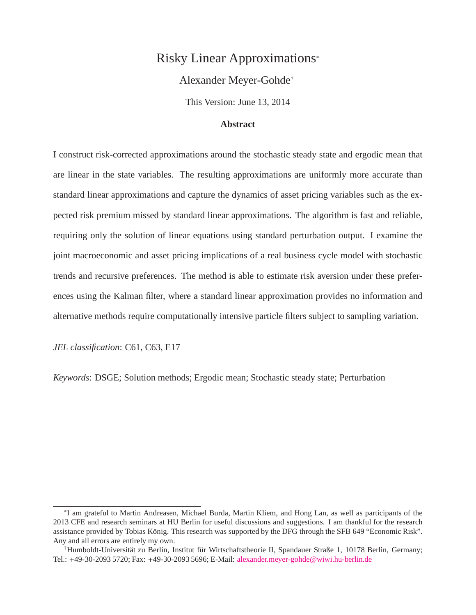# Risky Linear Approximations[∗](#page-0-0)

## Alexander Meyer-Gohde[†](#page-0-1)

This Version: June 13, 2014

### **Abstract**

I construct risk-corrected approximations around the stochastic steady state and ergodic mean that are linear in the state variables. The resulting approximations are uniformly more accurate than standard linear approximations and capture the dynamics of asset pricing variables such as the expected risk premium missed by standard linear approximations. The algorithm is fast and reliable, requiring only the solution of linear equations using standard perturbation output. I examine the joint macroeconomic and asset pricing implications of a real business cycle model with stochastic trends and recursive preferences. The method is able to estimate risk aversion under these preferences using the Kalman filter, where a standard linear approximation provides no information and alternative methods require computationally intensive particle filters subject to sampling variation.

*JEL classification*: C61, C63, E17

*Keywords*: DSGE; Solution methods; Ergodic mean; Stochastic steady state; Perturbation

<span id="page-0-0"></span><sup>∗</sup> I am grateful to Martin Andreasen, Michael Burda, Martin Kliem, and Hong Lan, as well as participants of the 2013 CFE and research seminars at HU Berlin for useful discussions and suggestions. I am thankful for the research assistance provided by Tobias König. This research was supported by the DFG through the SFB 649 "Economic Risk". Any and all errors are entirely my own.

<span id="page-0-1"></span><sup>&</sup>lt;sup>†</sup>Humboldt-Universität zu Berlin, Institut für Wirtschaftstheorie II, Spandauer Straße 1, 10178 Berlin, Germany; Tel.: +49-30-2093 5720; Fax: +49-30-2093 5696; E-Mail: [alexander.meyer-gohde@wiwi.hu-berlin.de](mailto:alexander.meyer-gohde@wiwi.hu-berlin.de)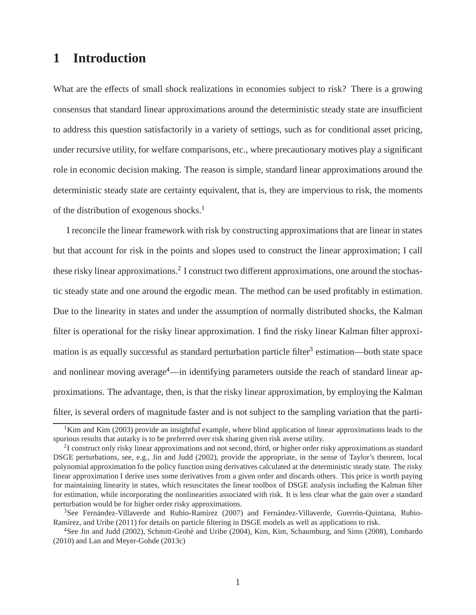# **1 Introduction**

What are the effects of small shock realizations in economies subject to risk? There is a growing consensus that standard linear approximations around the deterministic steady state are insufficient to address this question satisfactorily in a variety of settings, such as for conditional asset pricing, under recursive utility, for welfare comparisons, etc., where precautionary motives play a significant role in economic decision making. The reason is simple, standard linear approximations around the deterministic steady state are certainty equivalent, that is, they are impervious to risk, the moments of the distribution of exogenous shocks.[1](#page-1-0)

I reconcile the linear framework with risk by constructing approximations that are linear in states but that account for risk in the points and slopes used to construct the linear approximation; I call these risky linear approximations.<sup>[2](#page-1-1)</sup> I construct two different approximations, one around the stochastic steady state and one around the ergodic mean. The method can be used profitably in estimation. Due to the linearity in states and under the assumption of normally distributed shocks, the Kalman filter is operational for the risky linear approximation. I find the risky linear Kalman filter approxi-mation is as equally successful as standard perturbation particle filter<sup>[3](#page-1-2)</sup> estimation—both state space and nonlinear moving average<sup>[4](#page-1-3)</sup>—in identifying parameters outside the reach of standard linear approximations. The advantage, then, is that the risky linear approximation, by employing the Kalman filter, is several orders of magnitude faster and is not subject to the sampling variation that the parti-

<span id="page-1-0"></span><sup>&</sup>lt;sup>1</sup>Kim and Kim (2003) provide an insightful example, where blind application of linear approximations leads to the spurious results that autarky is to be preferred over risk sharing given risk averse utility.

<span id="page-1-1"></span> $2$ I construct only risky linear approximations and not second, third, or higher order risky approximations as standard DSGE perturbations, see, e.g., Jin and Judd (2002), provide the appropriate, in the sense of Taylor's theorem, local polynomial approximation fo the policy function using derivatives calculated at the deterministic steady state. The risky linear approximation I derive uses some derivatives from a given order and discards others. This price is worth paying for maintaining linearity in states, which resuscitates the linear toolbox of DSGE analysis including the Kalman filter for estimation, while incorporating the nonlinearities associated with risk. It is less clear what the gain over a standard perturbation would be for higher order risky approximations.

<span id="page-1-2"></span><sup>&</sup>lt;sup>3</sup>See Fernández-Villaverde and Rubio-Ramírez (2007) and Fernández-Villaverde, Guerrón-Quintana, Rubio-Ramírez, and Uribe (2011) for details on particle filtering in DSGE models as well as applications to risk.

<span id="page-1-3"></span><sup>&</sup>lt;sup>4</sup>See Jin and Judd (2002), Schmitt-Grohé and Uribe (2004), Kim, Kim, Schaumburg, and Sims (2008), Lombardo (2010) and Lan and Meyer-Gohde (2013c)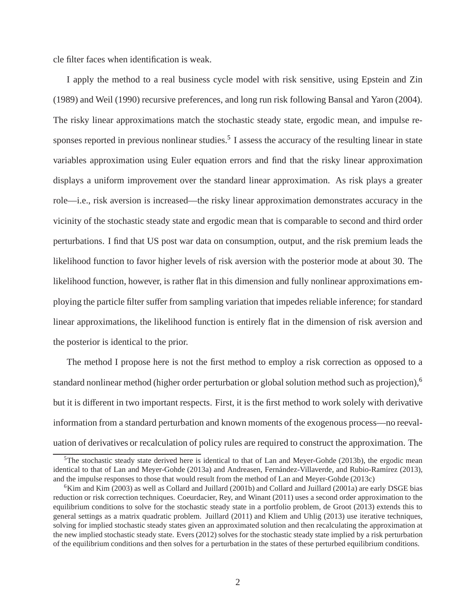cle filter faces when identification is weak.

I apply the method to a real business cycle model with risk sensitive, using Epstein and Zin (1989) and Weil (1990) recursive preferences, and long run risk following Bansal and Yaron (2004). The risky linear approximations match the stochastic steady state, ergodic mean, and impulse re-sponses reported in previous nonlinear studies.<sup>[5](#page-2-0)</sup> I assess the accuracy of the resulting linear in state variables approximation using Euler equation errors and find that the risky linear approximation displays a uniform improvement over the standard linear approximation. As risk plays a greater role—i.e., risk aversion is increased—the risky linear approximation demonstrates accuracy in the vicinity of the stochastic steady state and ergodic mean that is comparable to second and third order perturbations. I find that US post war data on consumption, output, and the risk premium leads the likelihood function to favor higher levels of risk aversion with the posterior mode at about 30. The likelihood function, however, is rather flat in this dimension and fully nonlinear approximations employing the particle filter suffer from sampling variation that impedes reliable inference; for standard linear approximations, the likelihood function is entirely flat in the dimension of risk aversion and the posterior is identical to the prior.

The method I propose here is not the first method to employ a risk correction as opposed to a standard nonlinear method (higher order perturbation or global solution method such as projection),[6](#page-2-1) but it is different in two important respects. First, it is the first method to work solely with derivative information from a standard perturbation and known moments of the exogenous process—no reevaluation of derivatives or recalculation of policy rules are required to construct the approximation. The

<span id="page-2-0"></span> $5$ The stochastic steady state derived here is identical to that of Lan and Meyer-Gohde (2013b), the ergodic mean identical to that of Lan and Meyer-Gohde (2013a) and Andreasen, Fernández-Villaverde, and Rubio-Ramírez (2013), and the impulse responses to those that would result from the method of Lan and Meyer-Gohde (2013c)

<span id="page-2-1"></span> $6$ Kim and Kim (2003) as well as Collard and Juillard (2001b) and Collard and Juillard (2001a) are early DSGE bias reduction or risk correction techniques. Coeurdacier, Rey, and Winant (2011) uses a second order approximation to the equilibrium conditions to solve for the stochastic steady state in a portfolio problem, de Groot (2013) extends this to general settings as a matrix quadratic problem. Juillard (2011) and Kliem and Uhlig (2013) use iterative techniques, solving for implied stochastic steady states given an approximated solution and then recalculating the approximation at the new implied stochastic steady state. Evers (2012) solves for the stochastic steady state implied by a risk perturbation of the equilibrium conditions and then solves for a perturbation in the states of these perturbed equilibrium conditions.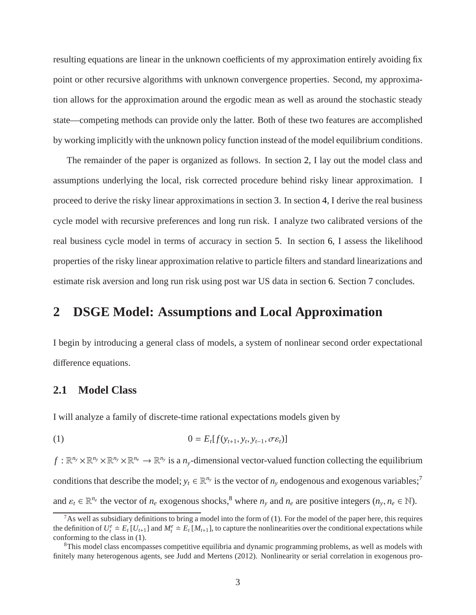resulting equations are linear in the unknown coefficients of my approximation entirely avoiding fix point or other recursive algorithms with unknown convergence properties. Second, my approximation allows for the approximation around the ergodic mean as well as around the stochastic steady state—competing methods can provide only the latter. Both of these two features are accomplished by working implicitly with the unknown policy function instead of the model equilibrium conditions.

The remainder of the paper is organized as follows. In section [2,](#page-3-0) I lay out the model class and assumptions underlying the local, risk corrected procedure behind risky linear approximation. I proceed to derive the risky linear approximations in section [3.](#page-9-0) In section [4,](#page-16-0) I derive the real business cycle model with recursive preferences and long run risk. I analyze two calibrated versions of the real business cycle model in terms of accuracy in section [5.](#page-19-0) In section [6,](#page-22-0) I assess the likelihood properties of the risky linear approximation relative to particle filters and standard linearizations and estimate risk aversion and long run risk using post war US data in section [6.](#page-22-0) Section [7](#page-29-0) concludes.

# <span id="page-3-0"></span>**2 DSGE Model: Assumptions and Local Approximation**

I begin by introducing a general class of models, a system of nonlinear second order expectational difference equations.

# **2.1 Model Class**

<span id="page-3-3"></span>I will analyze a family of discrete-time rational expectations models given by

$$
(1) \qquad \qquad 0 = E_t[f(y_{t+1}, y_t, y_{t-1}, \sigma \varepsilon_t)]
$$

 $f: \mathbb{R}^{n_y} \times \mathbb{R}^{n_y} \times \mathbb{R}^{n_e} \to \mathbb{R}^{n_y}$  is a  $n_y$ -dimensional vector-valued function collecting the equilibrium conditions that describe the model;  $y_t \in \mathbb{R}^{n_y}$  is the vector of  $n_y$  endogenous and exogenous variables;<sup>[7](#page-3-1)</sup> and  $\varepsilon_t \in \mathbb{R}^{n_e}$  the vector of  $n_e$  exogenous shocks,<sup>[8](#page-3-2)</sup> where  $n_y$  and  $n_e$  are positive integers  $(n_y, n_e \in \mathbb{N})$ .

<span id="page-3-1"></span><sup>&</sup>lt;sup>7</sup>As well as subsidiary definitions to bring a model into the form of [\(1\)](#page-3-3). For the model of the paper here, this requires the definition of  $U_t^e \doteq E_t [U_{t+1}]$  and  $M_t^e \doteq E_t [M_{t+1}]$ , to capture the nonlinearities over the conditional expectations while conforming to the class in [\(1\)](#page-3-3).

<span id="page-3-2"></span><sup>&</sup>lt;sup>8</sup>This model class encompasses competitive equilibria and dynamic programming problems, as well as models with finitely many heterogenous agents, see Judd and Mertens (2012). Nonlinearity or serial correlation in exogenous pro-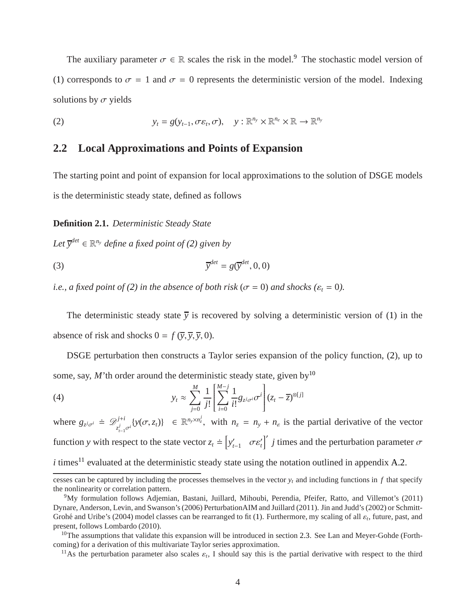The auxiliary parameter  $\sigma \in \mathbb{R}$  scales the risk in the model.<sup>[9](#page-4-0)</sup> The stochastic model version of [\(1\)](#page-3-3) corresponds to  $\sigma = 1$  and  $\sigma = 0$  represents the deterministic version of the model. Indexing solutions by  $\sigma$  yields

<span id="page-4-1"></span>(2) 
$$
y_t = g(y_{t-1}, \sigma \varepsilon_t, \sigma), \quad y: \mathbb{R}^{n_y} \times \mathbb{R}^{n_e} \times \mathbb{R} \to \mathbb{R}^{n_y}
$$

## **2.2 Local Approximations and Points of Expansion**

The starting point and point of expansion for local approximations to the solution of DSGE models is the deterministic steady state, defined as follows

**Definition 2.1.** *Deterministic Steady State*

 $Let \, \overline{y}^{det} \in \mathbb{R}^{n_y}$  *define a fixed point of* [\(2\)](#page-4-1) given by

$$
\overline{y}^{det} = g(\overline{y}^{det}, 0, 0)
$$

*i.e., a fixed point of* [\(2\)](#page-4-1) *in the absence of both risk* ( $\sigma = 0$ ) *and shocks* ( $\varepsilon_t = 0$ ).

The deterministic steady state  $\overline{y}$  is recovered by solving a deterministic version of [\(1\)](#page-3-3) in the absence of risk and shocks  $0 = f(\overline{y}, \overline{y}, \overline{y}, 0)$ .

DSGE perturbation then constructs a Taylor series expansion of the policy function, [\(2\)](#page-4-1), up to some, say,  $M'$ <sup>th</sup> order around the deterministic steady state, given by<sup>[10](#page-4-2)</sup>

<span id="page-4-4"></span>(4) 
$$
y_t \approx \sum_{j=0}^M \frac{1}{j!} \left[ \sum_{i=0}^{M-j} \frac{1}{i!} g_{z^j \sigma^i} \sigma^i \right] (z_t - \overline{z})^{\otimes [j]}
$$

where  $g_{z^j\sigma^i} \doteq \mathscr{D}^{j+i}_{j}$  $Z_{\tau-1}^{j+i}$   $\mathcal{V}(\sigma, z_t)$ }  $\in \mathbb{R}^{n_y \times n_z^j}$ , with  $n_z = n_y + n_\varepsilon$  is the partial derivative of the vector function *y* with respect to the state vector  $z_t \doteq \begin{bmatrix} y'_{t-1} & \sigma \epsilon'_t \end{bmatrix}^t j$  times and the perturbation parameter  $\sigma$ 

 $i$  times<sup>[11](#page-4-3)</sup> evaluated at the deterministic steady state using the notation outlined in appendix [A.2.](#page-35-0)

cesses can be captured by including the processes themselves in the vector  $y_t$  and including functions in  $f$  that specify the nonlinearity or correlation pattern.

<span id="page-4-0"></span><sup>9</sup>My formulation follows Adjemian, Bastani, Juillard, Mihoubi, Perendia, Pfeifer, Ratto, and Villemot's (2011) Dynare, Anderson, Levin, and Swanson's (2006) PerturbationAIM and Juillard (2011). Jin and Judd's (2002) or Schmitt-Grohé and Uribe's (2004) model classes can be rearranged to fit [\(1\)](#page-3-3). Furthermore, my scaling of all  $\varepsilon_t$ , future, past, and present, follows Lombardo (2010).

 $10$ The assumptions that validate this expansion will be introduced in section [2.3.](#page-7-0) See Lan and Meyer-Gohde (Forthcoming) for a derivation of this multivariate Taylor series approximation.

<span id="page-4-3"></span><span id="page-4-2"></span><sup>&</sup>lt;sup>11</sup>As the perturbation parameter also scales  $\varepsilon_t$ , I should say this is the partial derivative with respect to the third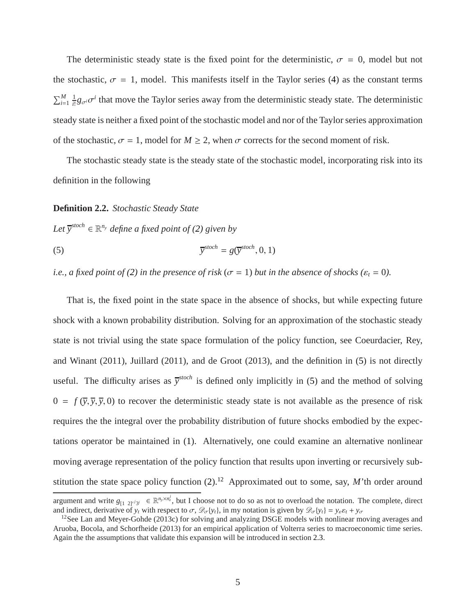The deterministic steady state is the fixed point for the deterministic,  $\sigma = 0$ , model but not the stochastic,  $\sigma = 1$ , model. This manifests itself in the Taylor series [\(4\)](#page-4-4) as the constant terms  $\sum_{i=1}^{M} \frac{1}{i!}$  $\frac{1}{i!}g_{\sigma i}\sigma^i$  that move the Taylor series away from the deterministic steady state. The deterministic steady state is neither a fixed point of the stochastic model and nor of the Taylor series approximation of the stochastic,  $\sigma = 1$ , model for  $M \ge 2$ , when  $\sigma$  corrects for the second moment of risk.

The stochastic steady state is the steady state of the stochastic model, incorporating risk into its definition in the following

**Definition 2.2.** *Stochastic Steady State*

<span id="page-5-0"></span> $Let \, \overline{y}^{stoch} \in \mathbb{R}^{n_y}$  *define a fixed point of* [\(2\)](#page-4-1) given by

(5) 
$$
\overline{y}^{stoch} = g(\overline{y}^{stoch}, 0, 1)
$$

*i.e., a fixed point of* [\(2\)](#page-4-1) *in the presence of risk* ( $\sigma = 1$ ) *but in the absence of shocks* ( $\varepsilon_t = 0$ ).

That is, the fixed point in the state space in the absence of shocks, but while expecting future shock with a known probability distribution. Solving for an approximation of the stochastic steady state is not trivial using the state space formulation of the policy function, see Coeurdacier, Rey, and Winant (2011), Juillard (2011), and de Groot (2013), and the definition in [\(5\)](#page-5-0) is not directly useful. The difficulty arises as  $\bar{y}^{stoch}$  is defined only implicitly in [\(5\)](#page-5-0) and the method of solving  $0 = f(\overline{y}, \overline{y}, \overline{y}, 0)$  to recover the deterministic steady state is not available as the presence of risk requires the the integral over the probability distribution of future shocks embodied by the expectations operator be maintained in [\(1\)](#page-3-3). Alternatively, one could examine an alternative nonlinear moving average representation of the policy function that results upon inverting or recursively substitution the state space policy function  $(2)$ .<sup>[12](#page-5-1)</sup> Approximated out to some, say, *M*'th order around

argument and write  $g_{[1\ 2]'}j_3 \in \mathbb{R}^{n_y \times n_z^j}$ , but I choose not to do so as not to overload the notation. The complete, direct and indirect, derivative of  $y_t$  with respect to  $\sigma$ ,  $\mathscr{D}_{\sigma}\{y_t\}$ , in my notation is given by  $\mathscr{D}_{\sigma}\{y_t\} = y_{\varepsilon}\varepsilon_t + y_{\sigma}$ 

<span id="page-5-1"></span><sup>&</sup>lt;sup>12</sup>See Lan and Meyer-Gohde (2013c) for solving and analyzing DSGE models with nonlinear moving averages and Aruoba, Bocola, and Schorfheide (2013) for an empirical application of Volterra series to macroeconomic time series. Again the the assumptions that validate this expansion will be introduced in section [2.3.](#page-7-0)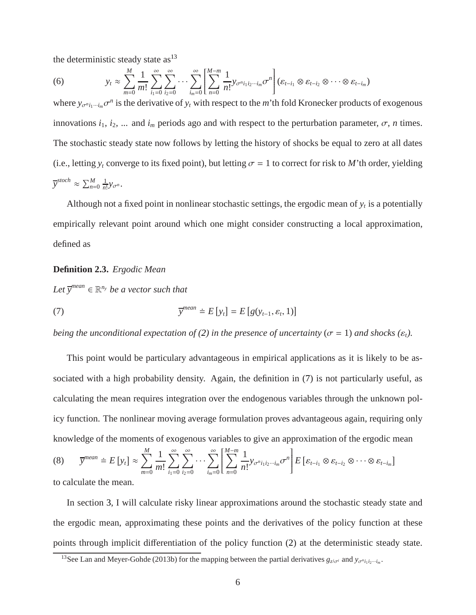the deterministic steady state  $\text{as}^{13}$  $\text{as}^{13}$  $\text{as}^{13}$ 

(6) 
$$
y_t \approx \sum_{m=0}^M \frac{1}{m!} \sum_{i_1=0}^{\infty} \sum_{i_2=0}^{\infty} \cdots \sum_{i_m=0}^{\infty} \left[ \sum_{n=0}^{M-m} \frac{1}{n!} y_{\sigma^{n} i_1 i_2 \cdots i_m} \sigma^n \right] (\varepsilon_{t-i_1} \otimes \varepsilon_{t-i_2} \otimes \cdots \otimes \varepsilon_{t-i_m})
$$

where  $y_{\sigma^n i_1 \cdots i_m} \sigma^n$  is the derivative of  $y_t$  with respect to the *m*'th fold Kronecker products of exogenous innovations  $i_1$ ,  $i_2$ , ... and  $i_m$  periods ago and with respect to the perturbation parameter,  $\sigma$ , *n* times. The stochastic steady state now follows by letting the history of shocks be equal to zero at all dates (i.e., letting  $y_t$  converge to its fixed point), but letting  $\sigma = 1$  to correct for risk to *M*'th order, yielding  $\overline{y}^{stoch} \approx \sum_{n=0}^{M} \frac{1}{n!}$  $\frac{1}{n!}y_{\sigma^n}$ .

Although not a fixed point in nonlinear stochastic settings, the ergodic mean of  $y_t$  is a potentially empirically relevant point around which one might consider constructing a local approximation, defined as

#### **Definition 2.3.** *Ergodic Mean*

<span id="page-6-1"></span> $Let \overline{y}^{mean} \in \mathbb{R}^{n_y}$  *be a vector such that* 

(7) 
$$
\overline{y}^{mean} \doteq E[y_t] = E[g(y_{t-1}, \varepsilon_t, 1)]
$$

*being the unconditional expectation of* [\(2\)](#page-4-1) *in the presence of uncertainty* ( $\sigma = 1$ ) *and shocks* ( $\varepsilon_t$ ).

This point would be particulary advantageous in empirical applications as it is likely to be associated with a high probability density. Again, the definition in [\(7\)](#page-6-1) is not particularly useful, as calculating the mean requires integration over the endogenous variables through the unknown policy function. The nonlinear moving average formulation proves advantageous again, requiring only knowledge of the moments of exogenous variables to give an approximation of the ergodic mean  $\overline{y}^{mean} \doteq E[y_t] \approx \sum_{l=1}^{M}$ *m*=0 1 *m*!  $\sum^{\infty}$  $i_1=0$  $\sum^{\infty}$  $i_2=0$  $\ldots \sum_{n=1}^{\infty}$ *im*=0 *M* X−*m*  $\overline{\mathsf{l}}$ *n*=0 1  $\frac{1}{n!}$ *y*<sub>σ<sup>*n*</sup>*i*<sub>1</sub>*i*<sub>2</sub>···*i<sub>m</sub>*</sub> $\sigma$ <sup>*n*</sup>  $\overline{\phantom{a}}$  $E\left[ \varepsilon_{t - i_1} \otimes \varepsilon_{t - i_2} \otimes \cdots \otimes \varepsilon_{t - i_m} \right]$ (8)

to calculate the mean.

In section [3,](#page-9-0) I will calculate risky linear approximations around the stochastic steady state and the ergodic mean, approximating these points and the derivatives of the policy function at these points through implicit differentiation of the policy function [\(2\)](#page-4-1) at the deterministic steady state.

<span id="page-6-0"></span><sup>&</sup>lt;sup>13</sup>See Lan and Meyer-Gohde (2013b) for the mapping between the partial derivatives  $g_{z^j\sigma^i}$  and  $y_{\sigma^n i_1 i_2 \cdots i_m}$ .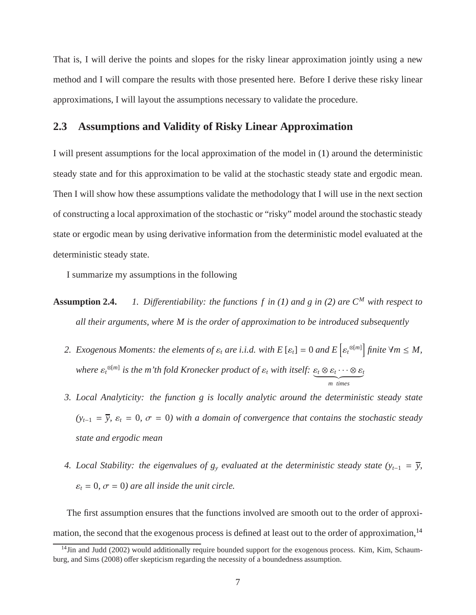That is, I will derive the points and slopes for the risky linear approximation jointly using a new method and I will compare the results with those presented here. Before I derive these risky linear approximations, I will layout the assumptions necessary to validate the procedure.

### <span id="page-7-0"></span>**2.3 Assumptions and Validity of Risky Linear Approximation**

I will present assumptions for the local approximation of the model in [\(1\)](#page-3-3) around the deterministic steady state and for this approximation to be valid at the stochastic steady state and ergodic mean. Then I will show how these assumptions validate the methodology that I will use in the next section of constructing a local approximation of the stochastic or "risky" model around the stochastic steady state or ergodic mean by using derivative information from the deterministic model evaluated at the deterministic steady state.

<span id="page-7-2"></span>I summarize my assumptions in the following

- **Assumption 2.4.** *1. Differentiability: the functions f in* [\(1\)](#page-3-3) and g in [\(2\)](#page-4-1) are  $C^M$  with respect to *all their arguments, where M is the order of approximation to be introduced subsequently*
	- 2. Exogenous Moments: the elements of  $\varepsilon_t$  are i.i.d. with  $E\left[\varepsilon_t\right] = 0$  and  $E\left[\varepsilon_t^{\otimes[m]}\right]$  finite  $\forall m \leq M$ , *where*  $\varepsilon_t^{\otimes [m]}$  *is the m'th fold Kronecker product of*  $\varepsilon_t$  *with itself:*  $\underbrace{\varepsilon_t \otimes \varepsilon_t \cdots \otimes \varepsilon_t}_{m \text{ times}}$
	- *3. Local Analyticity: the function g is locally analytic around the deterministic steady state*  $(y_{t-1} = \overline{y}, \varepsilon_t = 0, \sigma = 0)$  with a domain of convergence that contains the stochastic steady *state and ergodic mean*
	- *4. Local Stability: the eigenvalues of*  $g_y$  *evaluated at the deterministic steady state (y<sub>t−1</sub> =*  $\overline{y}$ *,*  $\varepsilon_t = 0$ ,  $\sigma = 0$ ) are all inside the unit circle.

The first assumption ensures that the functions involved are smooth out to the order of approxi-mation, the second that the exogenous process is defined at least out to the order of approximation,<sup>[14](#page-7-1)</sup>

<span id="page-7-1"></span><sup>&</sup>lt;sup>14</sup>Jin and Judd (2002) would additionally require bounded support for the exogenous process. Kim, Kim, Schaumburg, and Sims (2008) offer skepticism regarding the necessity of a boundedness assumption.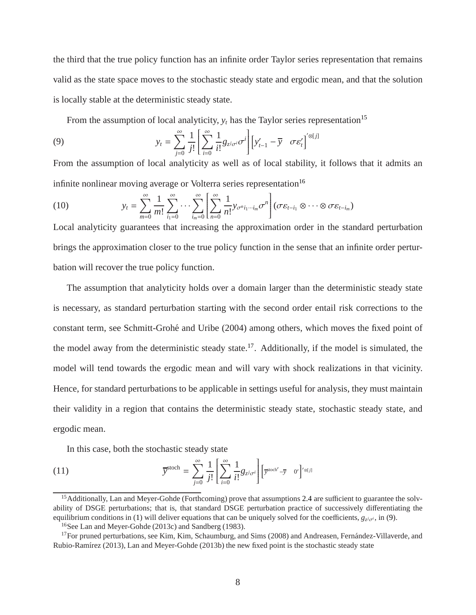the third that the true policy function has an infinite order Taylor series representation that remains valid as the state space moves to the stochastic steady state and ergodic mean, and that the solution is locally stable at the deterministic steady state.

From the assumption of local analyticity,  $y_t$  has the Taylor series representation<sup>[15](#page-8-0)</sup>

<span id="page-8-3"></span>(9) 
$$
y_t = \sum_{j=0}^{\infty} \frac{1}{j!} \left[ \sum_{i=0}^{\infty} \frac{1}{i!} g_{z^j \sigma^i} \sigma^i \right] \left[ y'_{t-1} - \overline{y} \sigma \varepsilon'_t \right]^{' \otimes [j]}
$$

From the assumption of local analyticity as well as of local stability, it follows that it admits an infinite nonlinear moving average or Volterra series representation $16$ 

(10) 
$$
y_t = \sum_{m=0}^{\infty} \frac{1}{m!} \sum_{i_1=0}^{\infty} \cdots \sum_{i_m=0}^{\infty} \left[ \sum_{n=0}^{\infty} \frac{1}{n!} y_{\sigma^n i_1 \cdots i_m} \sigma^n \right] (\sigma \varepsilon_{t-i_1} \otimes \cdots \otimes \sigma \varepsilon_{t-i_m})
$$

Local analyticity guarantees that increasing the approximation order in the standard perturbation brings the approximation closer to the true policy function in the sense that an infinite order perturbation will recover the true policy function.

The assumption that analyticity holds over a domain larger than the deterministic steady state is necessary, as standard perturbation starting with the second order entail risk corrections to the constant term, see Schmitt-Groh´e and Uribe (2004) among others, which moves the fixed point of the model away from the deterministic steady state.<sup>[17](#page-8-2)</sup>. Additionally, if the model is simulated, the model will tend towards the ergodic mean and will vary with shock realizations in that vicinity. Hence, for standard perturbations to be applicable in settings useful for analysis, they must maintain their validity in a region that contains the deterministic steady state, stochastic steady state, and ergodic mean.

In this case, both the stochastic steady state

(11) 
$$
\overline{y}^{\text{stoch}} = \sum_{j=0}^{\infty} \frac{1}{j!} \left[ \sum_{i=0}^{\infty} \frac{1}{i!} g_{z^j \sigma^i} \right] \left[ \overline{y}^{\text{stoch}'} - \overline{y} \quad 0' \right]'^{\otimes [j]}
$$

<span id="page-8-0"></span><sup>&</sup>lt;sup>15</sup> Additionally, Lan and Meyer-Gohde (Forthcoming) prove that assumptions [2.4](#page-7-2) are sufficient to guarantee the solvability of DSGE perturbations; that is, that standard DSGE perturbation practice of successively differentiating the equilibrium conditions in [\(1\)](#page-3-3) will deliver equations that can be uniquely solved for the coefficients,  $g_{z^j\sigma^i}$ , in [\(9\)](#page-8-3).

<span id="page-8-1"></span><sup>16</sup>See Lan and Meyer-Gohde (2013c) and Sandberg (1983).

<span id="page-8-2"></span> $17$ For pruned perturbations, see Kim, Kim, Schaumburg, and Sims (2008) and Andreasen, Fernández-Villaverde, and Rubio-Ramírez (2013), Lan and Meyer-Gohde (2013b) the new fixed point is the stochastic steady state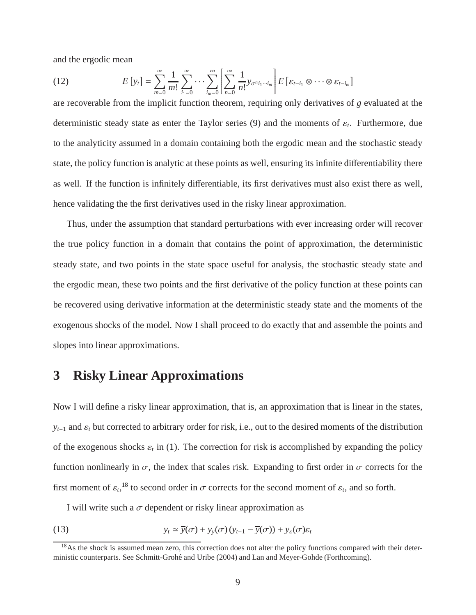and the ergodic mean

(12) 
$$
E[y_t] = \sum_{m=0}^{\infty} \frac{1}{m!} \sum_{i_1=0}^{\infty} \cdots \sum_{i_m=0}^{\infty} \left[ \sum_{n=0}^{\infty} \frac{1}{n!} y_{\sigma^{n} i_1 \cdots i_m} \right] E\left[\varepsilon_{t-i_1} \otimes \cdots \otimes \varepsilon_{t-i_m}\right]
$$

are recoverable from the implicit function theorem, requiring only derivatives of *g* evaluated at the deterministic steady state as enter the Taylor series [\(9\)](#page-8-3) and the moments of  $\varepsilon_t$ . Furthermore, due to the analyticity assumed in a domain containing both the ergodic mean and the stochastic steady state, the policy function is analytic at these points as well, ensuring its infinite differentiability there as well. If the function is infinitely differentiable, its first derivatives must also exist there as well, hence validating the the first derivatives used in the risky linear approximation.

Thus, under the assumption that standard perturbations with ever increasing order will recover the true policy function in a domain that contains the point of approximation, the deterministic steady state, and two points in the state space useful for analysis, the stochastic steady state and the ergodic mean, these two points and the first derivative of the policy function at these points can be recovered using derivative information at the deterministic steady state and the moments of the exogenous shocks of the model. Now I shall proceed to do exactly that and assemble the points and slopes into linear approximations.

# <span id="page-9-0"></span>**3 Risky Linear Approximations**

Now I will define a risky linear approximation, that is, an approximation that is linear in the states, *y*<sup> $t$ </sup><sup>−1</sup> and  $\varepsilon$ <sup>*t*</sup> but corrected to arbitrary order for risk, i.e., out to the desired moments of the distribution of the exogenous shocks  $\varepsilon_t$  in [\(1\)](#page-3-3). The correction for risk is accomplished by expanding the policy function nonlinearly in  $\sigma$ , the index that scales risk. Expanding to first order in  $\sigma$  corrects for the first moment of  $\varepsilon_t$ ,<sup>[18](#page-9-1)</sup> to second order in  $\sigma$  corrects for the second moment of  $\varepsilon_t$ , and so forth.

I will write such a  $\sigma$  dependent or risky linear approximation as

<span id="page-9-2"></span>(13) 
$$
y_t \approx \overline{y}(\sigma) + y_y(\sigma) (y_{t-1} - \overline{y}(\sigma)) + y_{\varepsilon}(\sigma) \varepsilon_t
$$

<span id="page-9-1"></span> $18$ As the shock is assumed mean zero, this correction does not alter the policy functions compared with their deterministic counterparts. See Schmitt-Grohé and Uribe (2004) and Lan and Meyer-Gohde (Forthcoming).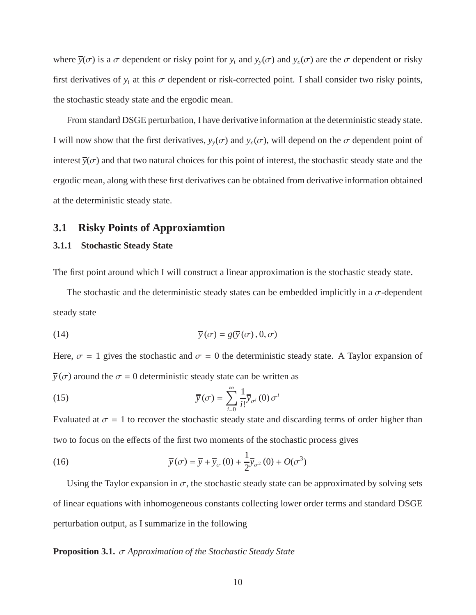where  $\overline{y}(\sigma)$  is a  $\sigma$  dependent or risky point for  $y_t$  and  $y_y(\sigma)$  and  $y_\varepsilon(\sigma)$  are the  $\sigma$  dependent or risky first derivatives of  $y_t$  at this  $\sigma$  dependent or risk-corrected point. I shall consider two risky points, the stochastic steady state and the ergodic mean.

From standard DSGE perturbation, I have derivative information at the deterministic steady state. I will now show that the first derivatives,  $y_y(\sigma)$  and  $y_\varepsilon(\sigma)$ , will depend on the  $\sigma$  dependent point of interest  $\overline{y}(\sigma)$  and that two natural choices for this point of interest, the stochastic steady state and the ergodic mean, along with these first derivatives can be obtained from derivative information obtained at the deterministic steady state.

### **3.1 Risky Points of Approxiamtion**

#### **3.1.1 Stochastic Steady State**

The first point around which I will construct a linear approximation is the stochastic steady state.

The stochastic and the deterministic steady states can be embedded implicitly in a  $\sigma$ -dependent steady state

<span id="page-10-2"></span>(14) 
$$
\overline{y}(\sigma) = g(\overline{y}(\sigma), 0, \sigma)
$$

Here,  $\sigma = 1$  gives the stochastic and  $\sigma = 0$  the deterministic steady state. A Taylor expansion of  $\overline{y}(\sigma)$  around the  $\sigma = 0$  deterministic steady state can be written as

<span id="page-10-0"></span>(15) 
$$
\overline{y}(\sigma) = \sum_{i=0}^{\infty} \frac{1}{i!} \overline{y}_{\sigma^i}(0) \sigma^i
$$

Evaluated at  $\sigma = 1$  to recover the stochastic steady state and discarding terms of order higher than two to focus on the effects of the first two moments of the stochastic process gives

(16) 
$$
\overline{y}(\sigma) = \overline{y} + \overline{y}_{\sigma}(0) + \frac{1}{2}\overline{y}_{\sigma^2}(0) + O(\sigma^3)
$$

<span id="page-10-1"></span>Using the Taylor expansion in  $\sigma$ , the stochastic steady state can be approximated by solving sets of linear equations with inhomogeneous constants collecting lower order terms and standard DSGE perturbation output, as I summarize in the following

#### **Proposition 3.1.** σ *Approximation of the Stochastic Steady State*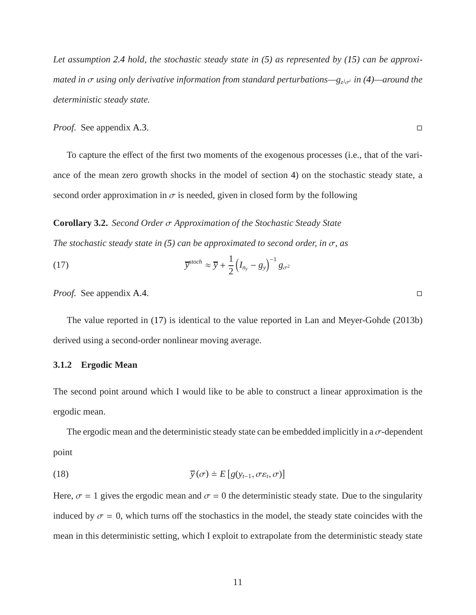*Let assumption [2.4](#page-7-2) hold, the stochastic steady state in [\(5\)](#page-5-0) as represented by [\(15\)](#page-10-0) can be approximated in* σ *using only derivative information from standard perturbations—g<sup>z</sup> <sup>j</sup>*σ*<sup>i</sup> in [\(4\)](#page-4-4)—around the deterministic steady state.*

*Proof.* See appendix [A.3.](#page-36-0) □

<span id="page-11-2"></span>To capture the effect of the first two moments of the exogenous processes (i.e., that of the variance of the mean zero growth shocks in the model of section [4\)](#page-16-0) on the stochastic steady state, a second order approximation in  $\sigma$  is needed, given in closed form by the following

**Corollary 3.2.** *Second Order* σ *Approximation of the Stochastic Steady State*

*The stochastic steady state in [\(5\)](#page-5-0) can be approximated to second order, in* σ*, as*

<span id="page-11-0"></span>(17) 
$$
\overline{y}^{stoch} \approx \overline{y} + \frac{1}{2} (I_{n_y} - g_y)^{-1} g_{\sigma^2}
$$

*Proof.* See appendix [A.4.](#page-36-1) □

The value reported in [\(17\)](#page-11-0) is identical to the value reported in Lan and Meyer-Gohde (2013b) derived using a second-order nonlinear moving average.

#### <span id="page-11-1"></span>**3.1.2 Ergodic Mean**

The second point around which I would like to be able to construct a linear approximation is the ergodic mean.

The ergodic mean and the deterministic steady state can be embedded implicitly in a  $\sigma$ -dependent point

<span id="page-11-3"></span>(18) 
$$
\overline{y}(\sigma) \doteq E \left[ g(y_{t-1}, \sigma \varepsilon_t, \sigma) \right]
$$

Here,  $\sigma = 1$  gives the ergodic mean and  $\sigma = 0$  the deterministic steady state. Due to the singularity induced by  $\sigma = 0$ , which turns off the stochastics in the model, the steady state coincides with the mean in this deterministic setting, which I exploit to extrapolate from the deterministic steady state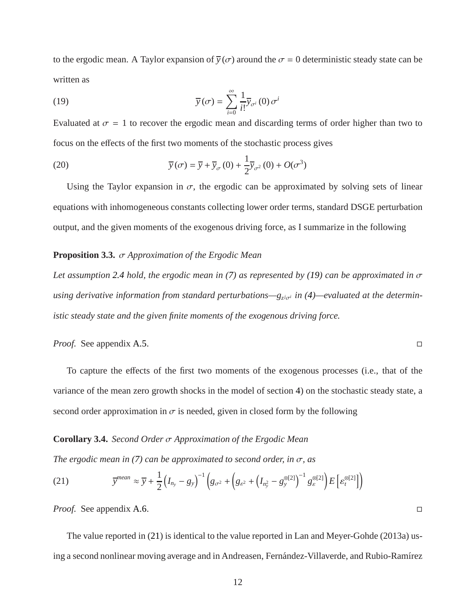to the ergodic mean. A Taylor expansion of  $\bar{y}(\sigma)$  around the  $\sigma = 0$  deterministic steady state can be written as

<span id="page-12-0"></span>(19) 
$$
\overline{y}(\sigma) = \sum_{i=0}^{\infty} \frac{1}{i!} \overline{y}_{\sigma^{i}}(0) \sigma^{i}
$$

Evaluated at  $\sigma = 1$  to recover the ergodic mean and discarding terms of order higher than two to focus on the effects of the first two moments of the stochastic process gives

(20) 
$$
\overline{y}(\sigma) = \overline{y} + \overline{y}_{\sigma}(0) + \frac{1}{2}\overline{y}_{\sigma^2}(0) + O(\sigma^3)
$$

<span id="page-12-2"></span>Using the Taylor expansion in  $\sigma$ , the ergodic can be approximated by solving sets of linear equations with inhomogeneous constants collecting lower order terms, standard DSGE perturbation output, and the given moments of the exogenous driving force, as I summarize in the following

#### **Proposition 3.3.** σ *Approximation of the Ergodic Mean*

*Let assumption [2.4](#page-7-2) hold, the ergodic mean in [\(7\)](#page-6-1) as represented by [\(19\)](#page-12-0) can be approximated in* σ *using derivative information from standard perturbations—g<sub><i>ziσ<sup>i</sup></sub> in* [\(4\)](#page-4-4)—evaluated at the determin-</sub> *istic steady state and the given finite moments of the exogenous driving force.*

*Proof.* See appendix [A.5.](#page-37-0) □

<span id="page-12-3"></span>To capture the effects of the first two moments of the exogenous processes (i.e., that of the variance of the mean zero growth shocks in the model of section [4\)](#page-16-0) on the stochastic steady state, a second order approximation in  $\sigma$  is needed, given in closed form by the following

#### **Corollary 3.4.** *Second Order* σ *Approximation of the Ergodic Mean*

*The ergodic mean in [\(7\)](#page-6-1) can be approximated to second order, in* σ*, as*

<span id="page-12-1"></span>(21) 
$$
\overline{y}^{mean} \approx \overline{y} + \frac{1}{2} \left( I_{n_y} - g_y \right)^{-1} \left( g_{\sigma^2} + \left( g_{\varepsilon^2} + \left( I_{n_y^2} - g_y^{\otimes[2]} \right)^{-1} g_{\varepsilon}^{\otimes[2]} \right) E \left[ \varepsilon_t^{\otimes[2]} \right] \right)
$$

*Proof.* See appendix [A.6.](#page-37-1) □

The value reported in [\(21\)](#page-12-1) is identical to the value reported in Lan and Meyer-Gohde (2013a) using a second nonlinear moving average and in Andreasen, Fernández-Villaverde, and Rubio-Ramírez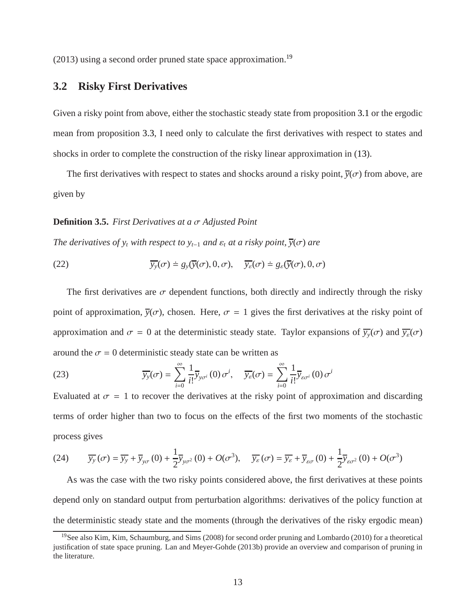<span id="page-13-2"></span> $(2013)$  using a second order pruned state space approximation.<sup>[19](#page-13-0)</sup>

## **3.2 Risky First Derivatives**

Given a risky point from above, either the stochastic steady state from proposition [3.1](#page-10-1) or the ergodic mean from proposition [3.3,](#page-12-2) I need only to calculate the first derivatives with respect to states and shocks in order to complete the construction of the risky linear approximation in [\(13\)](#page-9-2).

The first derivatives with respect to states and shocks around a risky point,  $\bar{y}(\sigma)$  from above, are given by

#### **Definition 3.5.** *First Derivatives at a* σ *Adjusted Point*

<span id="page-13-1"></span>*The derivatives of y<sub>t</sub> with respect to y*<sup> $t$ </sup><sup>-1</sup> *and*  $\varepsilon$ <sub>*t*</sub> *at a risky point*,  $\overline{y}(\sigma)$  *are* 

(22) 
$$
\overline{y_y}(\sigma) \doteq g_y(\overline{y}(\sigma), 0, \sigma), \quad \overline{y_z}(\sigma) \doteq g_z(\overline{y}(\sigma), 0, \sigma)
$$

The first derivatives are  $\sigma$  dependent functions, both directly and indirectly through the risky point of approximation,  $\overline{y}(\sigma)$ , chosen. Here,  $\sigma = 1$  gives the first derivatives at the risky point of approximation and  $\sigma = 0$  at the deterministic steady state. Taylor expansions of  $\overline{y}_y(\sigma)$  and  $\overline{y}_z(\sigma)$ around the  $\sigma = 0$  deterministic steady state can be written as

(23) 
$$
\overline{y_y}(\sigma) = \sum_{i=0}^{\infty} \frac{1}{i!} \overline{y}_{y\sigma^i}(0) \sigma^i, \quad \overline{y_{\varepsilon}}(\sigma) = \sum_{i=0}^{\infty} \frac{1}{i!} \overline{y}_{\varepsilon\sigma^i}(0) \sigma^i
$$

Evaluated at  $\sigma = 1$  to recover the derivatives at the risky point of approximation and discarding terms of order higher than two to focus on the effects of the first two moments of the stochastic process gives

(24) 
$$
\overline{y_y}(\sigma) = \overline{y_y} + \overline{y}_{y\sigma}(0) + \frac{1}{2}\overline{y}_{y\sigma^2}(0) + O(\sigma^3), \quad \overline{y_{\varepsilon}}(\sigma) = \overline{y_{\varepsilon}} + \overline{y}_{\varepsilon\sigma}(0) + \frac{1}{2}\overline{y}_{\varepsilon\sigma^2}(0) + O(\sigma^3)
$$

As was the case with the two risky points considered above, the first derivatives at these points depend only on standard output from perturbation algorithms: derivatives of the policy function at the deterministic steady state and the moments (through the derivatives of the risky ergodic mean)

<span id="page-13-0"></span><sup>&</sup>lt;sup>19</sup>See also Kim, Kim, Schaumburg, and Sims (2008) for second order pruning and Lombardo (2010) for a theoretical justification of state space pruning. Lan and Meyer-Gohde (2013b) provide an overview and comparison of pruning in the literature.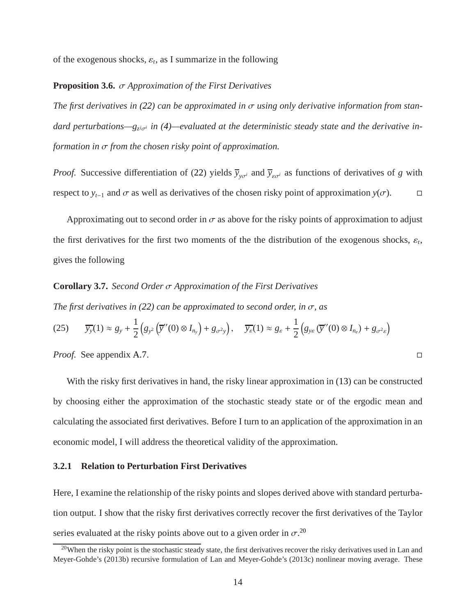of the exogenous shocks,  $\varepsilon_t$ , as I summarize in the following

#### **Proposition 3.6.** σ *Approximation of the First Derivatives*

*The first derivatives in [\(22\)](#page-13-1) can be approximated in* σ *using only derivative information from stan*dard perturbations—g<sub>zio<sup>*i*</sup> in [\(4\)](#page-4-4)—evaluated at the deterministic steady state and the derivative in-</sub> *formation in* σ *from the chosen risky point of approximation.*

*Proof.* Successive differentiation of [\(22\)](#page-13-1) yields  $\bar{y}_{y\sigma i}$  and  $\bar{y}_{\varepsilon\sigma i}$  as functions of derivatives of *g* with respect to  $y_{t-1}$  and  $\sigma$  as well as derivatives of the chosen risky point of approximation  $y(\sigma)$ .  $\Box$ 

<span id="page-14-1"></span>Approximating out to second order in  $\sigma$  as above for the risky points of approximation to adjust the first derivatives for the first two moments of the the distribution of the exogenous shocks,  $\varepsilon_t$ , gives the following

#### **Corollary 3.7.** *Second Order* σ *Approximation of the First Derivatives*

*The first derivatives in [\(22\)](#page-13-1) can be approximated to second order, in* σ*, as*

$$
(25) \qquad \overline{y_y}(1) \approx g_y + \frac{1}{2} \Big( g_{y^2} \left( \overline{y}''(0) \otimes I_{n_y} \right) + g_{\sigma^2 y} \Big), \qquad \overline{y_{\varepsilon}}(1) \approx g_{\varepsilon} + \frac{1}{2} \Big( g_{y \varepsilon} \left( \overline{y}''(0) \otimes I_{n_{\varepsilon}} \right) + g_{\sigma^2 \varepsilon} \Big)
$$

*Proof.* See appendix [A.7.](#page-38-0) □

With the risky first derivatives in hand, the risky linear approximation in [\(13\)](#page-9-2) can be constructed by choosing either the approximation of the stochastic steady state or of the ergodic mean and calculating the associated first derivatives. Before I turn to an application of the approximation in an economic model, I will address the theoretical validity of the approximation.

### **3.2.1 Relation to Perturbation First Derivatives**

Here, I examine the relationship of the risky points and slopes derived above with standard perturbation output. I show that the risky first derivatives correctly recover the first derivatives of the Taylor series evaluated at the risky points above out to a given order in  $\sigma^{20}$  $\sigma^{20}$  $\sigma^{20}$ .

<span id="page-14-0"></span> $20$ When the risky point is the stochastic steady state, the first derivatives recover the risky derivatives used in Lan and Meyer-Gohde's (2013b) recursive formulation of Lan and Meyer-Gohde's (2013c) nonlinear moving average. These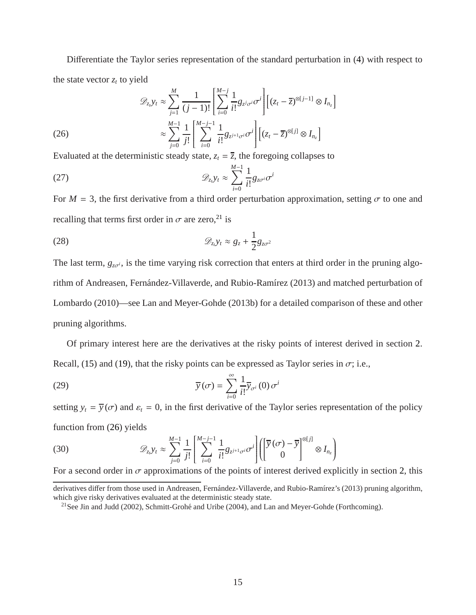Differentiate the Taylor series representation of the standard perturbation in [\(4\)](#page-4-4) with respect to the state vector  $z_t$  to yield

<span id="page-15-1"></span>(26)  
\n
$$
\mathcal{D}_{z_i} y_t \approx \sum_{j=1}^M \frac{1}{(j-1)!} \left[ \sum_{i=0}^{M-j} \frac{1}{i!} g_{z^j \sigma^i} \sigma^i \right] \left[ (z_t - \overline{z})^{\otimes [j-1]} \otimes I_{n_z} \right]
$$
\n
$$
\approx \sum_{j=0}^{M-1} \frac{1}{j!} \left[ \sum_{i=0}^{M-j-1} \frac{1}{i!} g_{z^{j+1} \sigma^i} \sigma^i \right] \left[ (z_t - \overline{z})^{\otimes [j]} \otimes I_{n_z} \right]
$$

Evaluated at the deterministic steady state,  $z_t = \overline{z}$ , the foregoing collapses to

$$
\mathcal{D}_{z_t} y_t \approx \sum_{i=0}^{M-1} \frac{1}{i!} g_{z\sigma^i} \sigma^i
$$

For  $M = 3$ , the first derivative from a third order perturbation approximation, setting  $\sigma$  to one and recalling that terms first order in  $\sigma$  are zero,<sup>[21](#page-15-0)</sup> is

$$
\mathscr{D}_{z_i} y_t \approx g_z + \frac{1}{2} g_{z\sigma^2}
$$

The last term,  $g_{z\sigma i}$ , is the time varying risk correction that enters at third order in the pruning algorithm of Andreasen, Fernández-Villaverde, and Rubio-Ramírez (2013) and matched perturbation of Lombardo (2010)—see Lan and Meyer-Gohde (2013b) for a detailed comparison of these and other pruning algorithms.

Of primary interest here are the derivatives at the risky points of interest derived in section [2.](#page-3-0) Recall, [\(15\)](#page-10-0) and [\(19\)](#page-12-0), that the risky points can be expressed as Taylor series in  $\sigma$ ; i.e.,

(29) 
$$
\overline{y}(\sigma) = \sum_{i=0}^{\infty} \frac{1}{i!} \overline{y}_{\sigma^{i}}(0) \sigma^{i}
$$

setting  $y_t = \overline{y}(\sigma)$  and  $\varepsilon_t = 0$ , in the first derivative of the Taylor series representation of the policy function from [\(26\)](#page-15-1) yields

(30) 
$$
\mathscr{D}_{z_i} y_t \approx \sum_{j=0}^{M-1} \frac{1}{j!} \left[ \sum_{i=0}^{M-j-1} \frac{1}{i!} g_{z^{j+1} \sigma^i} \sigma^i \right] \left( \begin{bmatrix} \overline{y}(\sigma) - \overline{y} \\ 0 \end{bmatrix}^{\otimes [j]} \otimes I_{n_z} \right)
$$

For a second order in  $\sigma$  approximations of the points of interest derived explicitly in section [2,](#page-3-0) this

derivatives differ from those used in Andreasen, Fernández-Villaverde, and Rubio-Ramírez's (2013) pruning algorithm, which give risky derivatives evaluated at the deterministic steady state.

<span id="page-15-0"></span><sup>&</sup>lt;sup>21</sup>See Jin and Judd (2002), Schmitt-Grohé and Uribe (2004), and Lan and Meyer-Gohde (Forthcoming).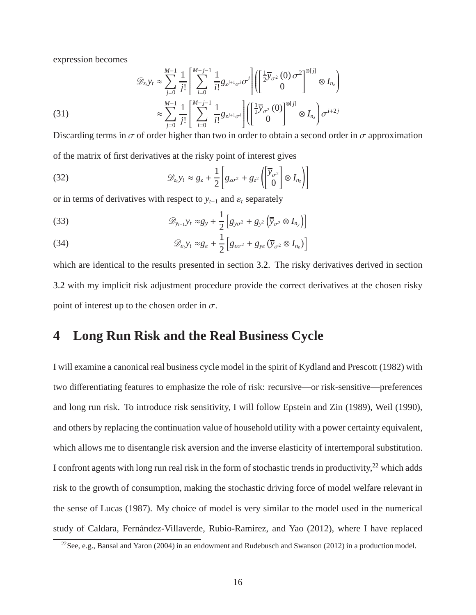expression becomes

(31)  
\n
$$
\mathcal{D}_{z_i} y_t \approx \sum_{j=0}^{M-1} \frac{1}{j!} \left[ \sum_{i=0}^{M-j-1} \frac{1}{i!} g_{z^{j+1} \sigma^i} \sigma^i \right] \left[ \left[ \frac{1}{2} \overline{y}_{\sigma^2} (0) \sigma^2 \right]^{\otimes [j]} \otimes I_{n_z} \right]
$$
\n
$$
\approx \sum_{j=0}^{M-1} \frac{1}{j!} \left[ \sum_{i=0}^{M-j-1} \frac{1}{i!} g_{z^{j+1} \sigma^i} \right] \left[ \left[ \frac{1}{2} \overline{y}_{\sigma^2} (0) \right]^{\otimes [j]} \otimes I_{n_z} \right] \sigma^{i+2j}
$$

Discarding terms in  $\sigma$  of order higher than two in order to obtain a second order in  $\sigma$  approximation of the matrix of first derivatives at the risky point of interest gives

(32) 
$$
\mathscr{D}_{z_t} y_t \approx g_z + \frac{1}{2} \left[ g_{z\sigma^2} + g_{z^2} \left( \begin{bmatrix} \overline{y}_{\sigma^2} \\ 0 \end{bmatrix} \otimes I_{n_z} \right) \right]
$$

or in terms of derivatives with respect to  $y_{t-1}$  and  $\varepsilon_t$  separately

(33) 
$$
\mathscr{D}_{y_{t-1}}y_t \approx g_y + \frac{1}{2} \left[ g_{y\sigma^2} + g_{y^2} \left( \overline{y}_{\sigma^2} \otimes I_{n_y} \right) \right]
$$

(34) 
$$
\mathscr{D}_{\varepsilon_l} y_t \approx g_{\varepsilon} + \frac{1}{2} \left[ g_{\varepsilon \sigma^2} + g_{y \varepsilon} \left( \overline{y}_{\sigma^2} \otimes I_{n_{\varepsilon}} \right) \right]
$$

which are identical to the results presented in section [3.2.](#page-13-2) The risky derivatives derived in section [3.2](#page-13-2) with my implicit risk adjustment procedure provide the correct derivatives at the chosen risky point of interest up to the chosen order in  $\sigma$ .

# <span id="page-16-0"></span>**4 Long Run Risk and the Real Business Cycle**

I will examine a canonical real business cycle model in the spirit of Kydland and Prescott (1982) with two differentiating features to emphasize the role of risk: recursive—or risk-sensitive—preferences and long run risk. To introduce risk sensitivity, I will follow Epstein and Zin (1989), Weil (1990), and others by replacing the continuation value of household utility with a power certainty equivalent, which allows me to disentangle risk aversion and the inverse elasticity of intertemporal substitution. I confront agents with long run real risk in the form of stochastic trends in productivity, $^{22}$  $^{22}$  $^{22}$  which adds risk to the growth of consumption, making the stochastic driving force of model welfare relevant in the sense of Lucas (1987). My choice of model is very similar to the model used in the numerical study of Caldara, Fernández-Villaverde, Rubio-Ramírez, and Yao (2012), where I have replaced

<span id="page-16-1"></span><sup>22</sup>See, e.g., Bansal and Yaron (2004) in an endowment and Rudebusch and Swanson (2012) in a production model.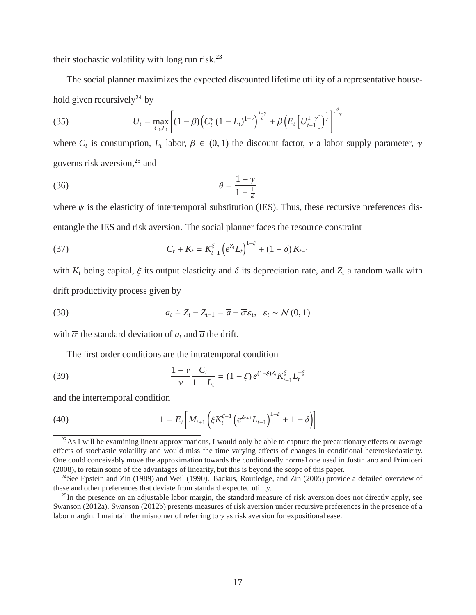their stochastic volatility with long run risk. $^{23}$  $^{23}$  $^{23}$ 

The social planner maximizes the expected discounted lifetime utility of a representative house-hold given recursively<sup>[24](#page-17-1)</sup> by

(35) 
$$
U_t = \max_{C_t, L_t} \left[ (1 - \beta) \left( C_t^{\nu} (1 - L_t)^{1 - \nu} \right)^{\frac{1 - \nu}{\theta}} + \beta \left( E_t \left[ U_{t+1}^{1 - \nu} \right] \right)^{\frac{1}{\nu}} \right]^{\frac{\theta}{1 - \nu}}
$$

where  $C_t$  is consumption,  $L_t$  labor,  $\beta \in (0, 1)$  the discount factor,  $\nu$  a labor supply parameter,  $\gamma$ governs risk aversion,[25](#page-17-2) and

$$
\theta = \frac{1 - \gamma}{1 - \frac{1}{\psi}}
$$

where  $\psi$  is the elasticity of intertemporal substitution (IES). Thus, these recursive preferences disentangle the IES and risk aversion. The social planner faces the resource constraint

<span id="page-17-3"></span>(37) 
$$
C_t + K_t = K_{t-1}^{\xi} \left( e^{Z_t} L_t \right)^{1-\xi} + (1-\delta) K_{t-1}
$$

with  $K_t$  being capital,  $\xi$  its output elasticity and  $\delta$  its depreciation rate, and  $Z_t$  a random walk with drift productivity process given by

<span id="page-17-4"></span>(38) 
$$
a_t \doteq Z_t - Z_{t-1} = \overline{a} + \overline{\sigma} \varepsilon_t, \ \varepsilon_t \sim \mathcal{N}(0, 1)
$$

with  $\overline{\sigma}$  the standard deviation of  $a_t$  and  $\overline{a}$  the drift.

The first order conditions are the intratemporal condition

(39) 
$$
\frac{1-\nu}{\nu}\frac{C_t}{1-L_t} = (1-\xi)e^{(1-\xi)Z_t}K_{t-1}^{\xi}L_t^{-\xi}
$$

and the intertemporal condition

(40) 
$$
1 = E_t \left[ M_{t+1} \left( \xi K_t^{\xi-1} \left( e^{Z_{t+1}} L_{t+1} \right)^{1-\xi} + 1 - \delta \right) \right]
$$

<span id="page-17-0"></span> $^{23}$ As I will be examining linear approximations, I would only be able to capture the precautionary effects or average effects of stochastic volatility and would miss the time varying effects of changes in conditional heteroskedasticity. One could conceivably move the approximation towards the conditionally normal one used in Justiniano and Primiceri (2008), to retain some of the advantages of linearity, but this is beyond the scope of this paper.

<span id="page-17-1"></span><sup>&</sup>lt;sup>24</sup>See Epstein and Zin (1989) and Weil (1990). Backus, Routledge, and Zin (2005) provide a detailed overview of these and other preferences that deviate from standard expected utility.

<span id="page-17-2"></span> $^{25}$ In the presence on an adjustable labor margin, the standard measure of risk aversion does not directly apply, see Swanson (2012a). Swanson (2012b) presents measures of risk aversion under recursive preferences in the presence of a labor margin. I maintain the misnomer of referring to  $\gamma$  as risk aversion for expositional ease.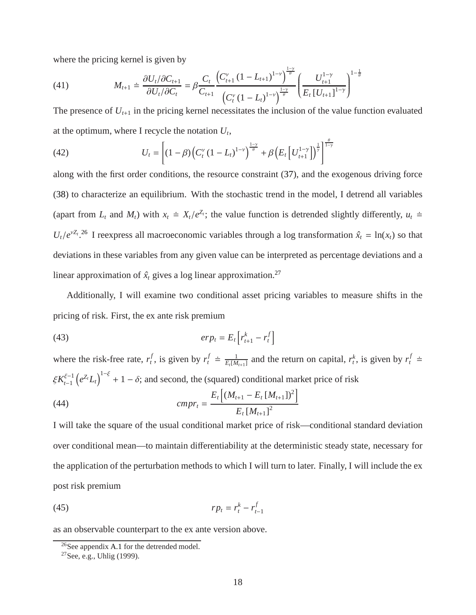where the pricing kernel is given by

(41) 
$$
M_{t+1} \doteq \frac{\partial U_t / \partial C_{t+1}}{\partial U_t / \partial C_t} = \beta \frac{C_t}{C_{t+1}} \frac{\left(C_{t+1}^{\nu} (1 - L_{t+1})^{1-\nu}\right)^{\frac{1-\nu}{\theta}}}{\left(C_t^{\nu} (1 - L_t)^{1-\nu}\right)^{\frac{1-\nu}{\theta}}} \left(\frac{U_{t+1}^{1-\nu}}{E_t [U_{t+1}]^{1-\nu}}\right)^{1-\nu}
$$

The presence of  $U_{t+1}$  in the pricing kernel necessitates the inclusion of the value function evaluated at the optimum, where I recycle the notation  $U_t$ ,

1 θ

(42) 
$$
U_t = \left[ (1 - \beta) \left( C_t^{\nu} (1 - L_t)^{1 - \nu} \right)^{\frac{1 - \gamma}{\theta}} + \beta \left( E_t \left[ U_{t+1}^{1 - \gamma} \right] \right)^{\frac{1}{\gamma}} \right]^{\frac{\theta}{1 - \gamma}}
$$

along with the first order conditions, the resource constraint [\(37\)](#page-17-3), and the exogenous driving force [\(38\)](#page-17-4) to characterize an equilibrium. With the stochastic trend in the model, I detrend all variables (apart from  $L_t$  and  $M_t$ ) with  $x_t \doteq X_t/e^{Z_t}$ ; the value function is detrended slightly differently,  $u_t \doteq$  $U_t/e^{\nu Z_t}$ .<sup>[26](#page-18-0)</sup> I reexpress all macroeconomic variables through a log transformation  $\hat{x}_t = \ln(x_t)$  so that deviations in these variables from any given value can be interpreted as percentage deviations and a linear approximation of  $\hat{x}_t$  gives a log linear approximation.<sup>[27](#page-18-1)</sup>

Additionally, I will examine two conditional asset pricing variables to measure shifts in the pricing of risk. First, the ex ante risk premium

$$
(43) \t\t\t $erp_t = E_t \left[ r_{t+1}^k - r_t^f \right]$
$$

where the risk-free rate,  $r_t^f$  $t_t$ , is given by  $r_t^f \doteq \frac{1}{E_t[M]}$  $\frac{1}{E_t[M_{t+1}]}$  and the return on capital,  $r_t^k$ , is given by  $r_t^f$   $\doteq$  $\xi K_{i-1}^{\xi-1}$  $\int_{t-1}^{\xi-1} (e^{z_t} L_t)^{1-\xi} + 1 - \delta$ ; and second, the (squared) conditional market price of risk

(44) 
$$
cmp_{t} = \frac{E_{t}\left[(M_{t+1} - E_{t}[M_{t+1}])^{2}\right]}{E_{t}[M_{t+1}]^{2}}
$$

I will take the square of the usual conditional market price of risk—conditional standard deviation over conditional mean—to maintain differentiability at the deterministic steady state, necessary for the application of the perturbation methods to which I will turn to later. Finally, I will include the ex post risk premium

<span id="page-18-2"></span>
$$
(45) \t\t r p_t = r_t^k - r_{t-1}^f
$$

as an observable counterpart to the ex ante version above.

<sup>26</sup>See appendix [A.1](#page-35-1) for the detrended model.

<span id="page-18-1"></span><span id="page-18-0"></span><sup>27</sup>See, e.g., Uhlig (1999).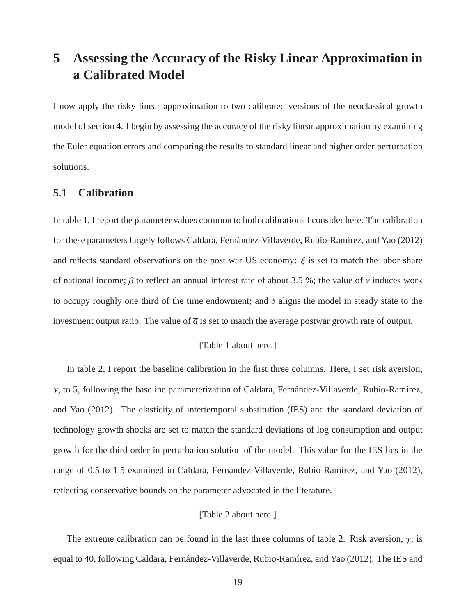# <span id="page-19-0"></span>**5 Assessing the Accuracy of the Risky Linear Approximation in a Calibrated Model**

I now apply the risky linear approximation to two calibrated versions of the neoclassical growth model of section [4.](#page-16-0) I begin by assessing the accuracy of the risky linear approximation by examining the Euler equation errors and comparing the results to standard linear and higher order perturbation solutions.

# **5.1 Calibration**

In table [1,](#page-40-0) I report the parameter values common to both calibrations I consider here. The calibration for these parameters largely follows Caldara, Fernández-Villaverde, Rubio-Ramírez, and Yao (2012) and reflects standard observations on the post war US economy:  $\xi$  is set to match the labor share of national income;  $\beta$  to reflect an annual interest rate of about 3.5 %; the value of  $\nu$  induces work to occupy roughly one third of the time endowment; and  $\delta$  aligns the model in steady state to the investment output ratio. The value of  $\overline{a}$  is set to match the average postwar growth rate of output.

#### [Table 1 about here.]

In table [2,](#page-40-1) I report the baseline calibration in the first three columns. Here, I set risk aversion,  $\gamma$ , to 5, following the baseline parameterization of Caldara, Fernández-Villaverde, Rubio-Ramírez, and Yao (2012). The elasticity of intertemporal substitution (IES) and the standard deviation of technology growth shocks are set to match the standard deviations of log consumption and output growth for the third order in perturbation solution of the model. This value for the IES lies in the range of 0.5 to 1.5 examined in Caldara, Fernández-Villaverde, Rubio-Ramírez, and Yao (2012), reflecting conservative bounds on the parameter advocated in the literature.

#### [Table 2 about here.]

The extreme calibration can be found in the last three columns of table [2.](#page-40-1) Risk aversion,  $\gamma$ , is equal to 40, following Caldara, Fernández-Villaverde, Rubio-Ramírez, and Yao (2012). The IES and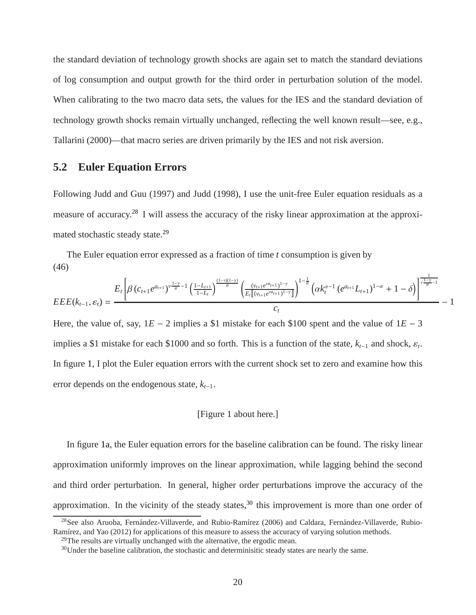the standard deviation of technology growth shocks are again set to match the standard deviations of log consumption and output growth for the third order in perturbation solution of the model. When calibrating to the two macro data sets, the values for the IES and the standard deviation of technology growth shocks remain virtually unchanged, reflecting the well known result—see, e.g., Tallarini (2000)—that macro series are driven primarily by the IES and not risk aversion.

## **5.2 Euler Equation Errors**

Following Judd and Guu (1997) and Judd (1998), I use the unit-free Euler equation residuals as a measure of accuracy.[28](#page-20-0) I will assess the accuracy of the risky linear approximation at the approxi-mated stochastic steady state.<sup>[29](#page-20-1)</sup>

The Euler equation error expressed as a fraction of time *t* consumption is given by (46)

$$
EEE(k_{t-1},\varepsilon_{t}) = \frac{E_{t}\left[\beta(c_{t+1}e^{a_{t+1}})^{\nu\frac{1-\gamma}{\theta}-1}\left(\frac{1-L_{t+1}}{1-L_{t}}\right)^{\frac{(1-\nu)(1-\gamma)}{\theta}}\left(\frac{(\nu_{t+1}e^{\nu a_{t+1}})^{1-\gamma}}{E_{t}[(\nu_{t+1}e^{\nu a_{t+1}})^{1-\gamma}]}\right)^{1-\frac{1}{\theta}}\left(\alpha k_{t}^{\alpha-1}\left(e^{a_{t+1}}L_{t+1}\right)^{1-\alpha}+1-\delta\right)\right]^{\frac{1}{\nu\frac{1-\gamma}{\theta}-1}}}{-1}
$$

Here, the value of, say,  $1E - 2$  implies a \$1 mistake for each \$100 spent and the value of  $1E - 3$ implies a \$1 mistake for each \$1000 and so forth. This is a function of the state,  $k_{t-1}$  and shock,  $\varepsilon_t$ . In figure [1,](#page-42-0) I plot the Euler equation errors with the current shock set to zero and examine how this error depends on the endogenous state, *kt*−1.

#### [Figure 1 about here.]

In figure [1a,](#page-50-0) the Euler equation errors for the baseline calibration can be found. The risky linear approximation uniformly improves on the linear approximation, while lagging behind the second and third order perturbation. In general, higher order perturbations improve the accuracy of the approximation. In the vicinity of the steady states,  $30$  this improvement is more than one order of

 $^{28}$ See also Aruoba, Fernández-Villaverde, and Rubio-Ramírez (2006) and Caldara, Fernández-Villaverde, Rubio-Ramírez, and Yao (2012) for applications of this measure to assess the accuracy of varying solution methods.

<span id="page-20-0"></span> $^{29}$ The results are virtually unchanged with the alternative, the ergodic mean.

<span id="page-20-2"></span><span id="page-20-1"></span> $30$ Under the baseline calibration, the stochastic and determinisitic steady states are nearly the same.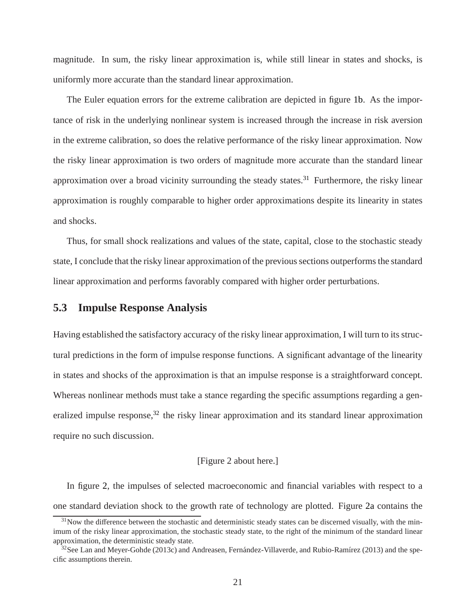magnitude. In sum, the risky linear approximation is, while still linear in states and shocks, is uniformly more accurate than the standard linear approximation.

The Euler equation errors for the extreme calibration are depicted in figure [1b.](#page-50-1) As the importance of risk in the underlying nonlinear system is increased through the increase in risk aversion in the extreme calibration, so does the relative performance of the risky linear approximation. Now the risky linear approximation is two orders of magnitude more accurate than the standard linear approximation over a broad vicinity surrounding the steady states.<sup>[31](#page-21-0)</sup> Furthermore, the risky linear approximation is roughly comparable to higher order approximations despite its linearity in states and shocks.

Thus, for small shock realizations and values of the state, capital, close to the stochastic steady state, I conclude that the risky linear approximation of the previous sections outperforms the standard linear approximation and performs favorably compared with higher order perturbations.

### **5.3 Impulse Response Analysis**

Having established the satisfactory accuracy of the risky linear approximation, I will turn to its structural predictions in the form of impulse response functions. A significant advantage of the linearity in states and shocks of the approximation is that an impulse response is a straightforward concept. Whereas nonlinear methods must take a stance regarding the specific assumptions regarding a gen-eralized impulse response,<sup>[32](#page-21-1)</sup> the risky linear approximation and its standard linear approximation require no such discussion.

#### [Figure 2 about here.]

In figure [2,](#page-43-0) the impulses of selected macroeconomic and financial variables with respect to a one standard deviation shock to the growth rate of technology are plotted. Figure [2a](#page-50-0) contains the

<span id="page-21-0"></span> $31$ Now the difference between the stochastic and deterministic steady states can be discerned visually, with the minimum of the risky linear approximation, the stochastic steady state, to the right of the minimum of the standard linear approximation, the deterministic steady state.

<span id="page-21-1"></span> $32$ See Lan and Meyer-Gohde (2013c) and Andreasen, Fernández-Villaverde, and Rubio-Ramírez (2013) and the specific assumptions therein.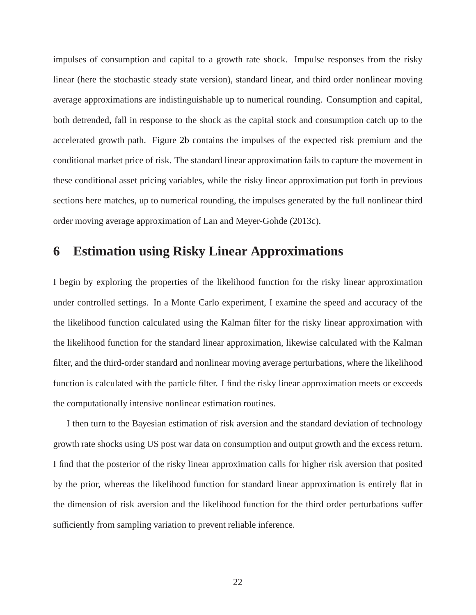impulses of consumption and capital to a growth rate shock. Impulse responses from the risky linear (here the stochastic steady state version), standard linear, and third order nonlinear moving average approximations are indistinguishable up to numerical rounding. Consumption and capital, both detrended, fall in response to the shock as the capital stock and consumption catch up to the accelerated growth path. Figure [2b](#page-50-1) contains the impulses of the expected risk premium and the conditional market price of risk. The standard linear approximation fails to capture the movement in these conditional asset pricing variables, while the risky linear approximation put forth in previous sections here matches, up to numerical rounding, the impulses generated by the full nonlinear third order moving average approximation of Lan and Meyer-Gohde (2013c).

# <span id="page-22-0"></span>**6 Estimation using Risky Linear Approximations**

I begin by exploring the properties of the likelihood function for the risky linear approximation under controlled settings. In a Monte Carlo experiment, I examine the speed and accuracy of the the likelihood function calculated using the Kalman filter for the risky linear approximation with the likelihood function for the standard linear approximation, likewise calculated with the Kalman filter, and the third-order standard and nonlinear moving average perturbations, where the likelihood function is calculated with the particle filter. I find the risky linear approximation meets or exceeds the computationally intensive nonlinear estimation routines.

I then turn to the Bayesian estimation of risk aversion and the standard deviation of technology growth rate shocks using US post war data on consumption and output growth and the excess return. I find that the posterior of the risky linear approximation calls for higher risk aversion that posited by the prior, whereas the likelihood function for standard linear approximation is entirely flat in the dimension of risk aversion and the likelihood function for the third order perturbations suffer sufficiently from sampling variation to prevent reliable inference.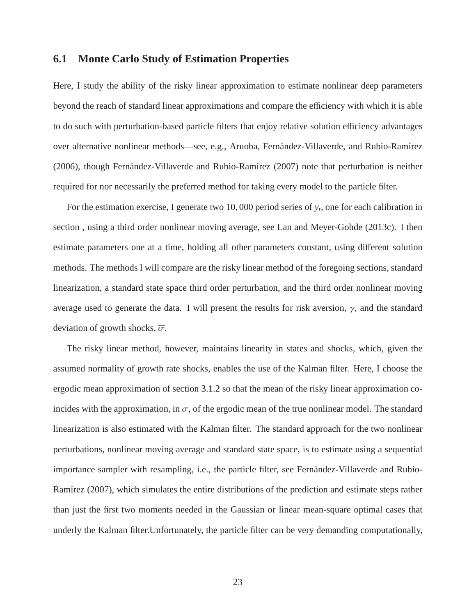### **6.1 Monte Carlo Study of Estimation Properties**

Here, I study the ability of the risky linear approximation to estimate nonlinear deep parameters beyond the reach of standard linear approximations and compare the efficiency with which it is able to do such with perturbation-based particle filters that enjoy relative solution efficiency advantages over alternative nonlinear methods—see, e.g., Aruoba, Fernández-Villaverde, and Rubio-Ramírez (2006), though Fernández-Villaverde and Rubio-Ramírez (2007) note that perturbation is neither required for nor necessarily the preferred method for taking every model to the particle filter.

For the estimation exercise, I generate two 10, 000 period series of *y<sup>t</sup>* , one for each calibration in section , using a third order nonlinear moving average, see Lan and Meyer-Gohde (2013c). I then estimate parameters one at a time, holding all other parameters constant, using different solution methods. The methods I will compare are the risky linear method of the foregoing sections, standard linearization, a standard state space third order perturbation, and the third order nonlinear moving average used to generate the data. I will present the results for risk aversion,  $\gamma$ , and the standard deviation of growth shocks,  $\overline{\sigma}$ .

The risky linear method, however, maintains linearity in states and shocks, which, given the assumed normality of growth rate shocks, enables the use of the Kalman filter. Here, I choose the ergodic mean approximation of section [3.1.2](#page-11-1) so that the mean of the risky linear approximation coincides with the approximation, in  $\sigma$ , of the ergodic mean of the true nonlinear model. The standard linearization is also estimated with the Kalman filter. The standard approach for the two nonlinear perturbations, nonlinear moving average and standard state space, is to estimate using a sequential importance sampler with resampling, i.e., the particle filter, see Fernández-Villaverde and Rubio-Ramírez (2007), which simulates the entire distributions of the prediction and estimate steps rather than just the first two moments needed in the Gaussian or linear mean-square optimal cases that underly the Kalman filter.Unfortunately, the particle filter can be very demanding computationally,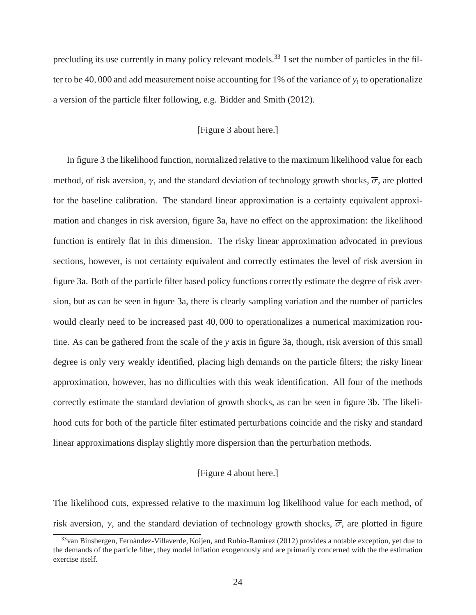precluding its use currently in many policy relevant models.<sup>[33](#page-24-0)</sup> I set the number of particles in the filter to be 40, 000 and add measurement noise accounting for 1% of the variance of *y<sup>t</sup>* to operationalize a version of the particle filter following, e.g. Bidder and Smith (2012).

### [Figure 3 about here.]

In figure [3](#page-44-0) the likelihood function, normalized relative to the maximum likelihood value for each method, of risk aversion,  $\gamma$ , and the standard deviation of technology growth shocks,  $\overline{\sigma}$ , are plotted for the baseline calibration. The standard linear approximation is a certainty equivalent approximation and changes in risk aversion, figure [3a,](#page-50-0) have no effect on the approximation: the likelihood function is entirely flat in this dimension. The risky linear approximation advocated in previous sections, however, is not certainty equivalent and correctly estimates the level of risk aversion in figure [3a.](#page-50-0) Both of the particle filter based policy functions correctly estimate the degree of risk aversion, but as can be seen in figure [3a,](#page-50-0) there is clearly sampling variation and the number of particles would clearly need to be increased past 40, 000 to operationalizes a numerical maximization routine. As can be gathered from the scale of the *y* axis in figure [3a,](#page-50-0) though, risk aversion of this small degree is only very weakly identified, placing high demands on the particle filters; the risky linear approximation, however, has no difficulties with this weak identification. All four of the methods correctly estimate the standard deviation of growth shocks, as can be seen in figure [3b.](#page-50-1) The likelihood cuts for both of the particle filter estimated perturbations coincide and the risky and standard linear approximations display slightly more dispersion than the perturbation methods.

#### [Figure 4 about here.]

The likelihood cuts, expressed relative to the maximum log likelihood value for each method, of risk aversion,  $\gamma$ , and the standard deviation of technology growth shocks,  $\overline{\sigma}$ , are plotted in figure

<span id="page-24-0"></span> $33$ van Binsbergen, Fernández-Villaverde, Koijen, and Rubio-Ramírez (2012) provides a notable exception, yet due to the demands of the particle filter, they model inflation exogenously and are primarily concerned with the the estimation exercise itself.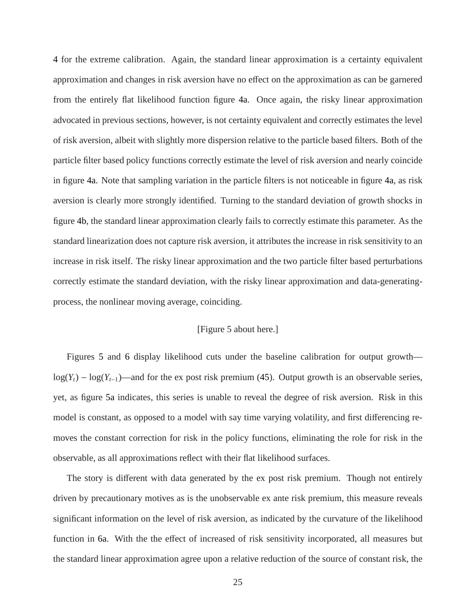[4](#page-45-0) for the extreme calibration. Again, the standard linear approximation is a certainty equivalent approximation and changes in risk aversion have no effect on the approximation as can be garnered from the entirely flat likelihood function figure [4a.](#page-50-0) Once again, the risky linear approximation advocated in previous sections, however, is not certainty equivalent and correctly estimates the level of risk aversion, albeit with slightly more dispersion relative to the particle based filters. Both of the particle filter based policy functions correctly estimate the level of risk aversion and nearly coincide in figure [4a.](#page-50-0) Note that sampling variation in the particle filters is not noticeable in figure [4a,](#page-50-0) as risk aversion is clearly more strongly identified. Turning to the standard deviation of growth shocks in figure [4b,](#page-50-1) the standard linear approximation clearly fails to correctly estimate this parameter. As the standard linearization does not capture risk aversion, it attributes the increase in risk sensitivity to an increase in risk itself. The risky linear approximation and the two particle filter based perturbations correctly estimate the standard deviation, with the risky linear approximation and data-generatingprocess, the nonlinear moving average, coinciding.

### [Figure 5 about here.]

Figures [5](#page-46-0) and [6](#page-47-0) display likelihood cuts under the baseline calibration for output growth  $log(Y_t) - log(Y_{t-1})$ —and for the ex post risk premium [\(45\)](#page-18-2). Output growth is an observable series, yet, as figure [5a](#page-50-0) indicates, this series is unable to reveal the degree of risk aversion. Risk in this model is constant, as opposed to a model with say time varying volatility, and first differencing removes the constant correction for risk in the policy functions, eliminating the role for risk in the observable, as all approximations reflect with their flat likelihood surfaces.

The story is different with data generated by the ex post risk premium. Though not entirely driven by precautionary motives as is the unobservable ex ante risk premium, this measure reveals significant information on the level of risk aversion, as indicated by the curvature of the likelihood function in [6a.](#page-50-0) With the the effect of increased of risk sensitivity incorporated, all measures but the standard linear approximation agree upon a relative reduction of the source of constant risk, the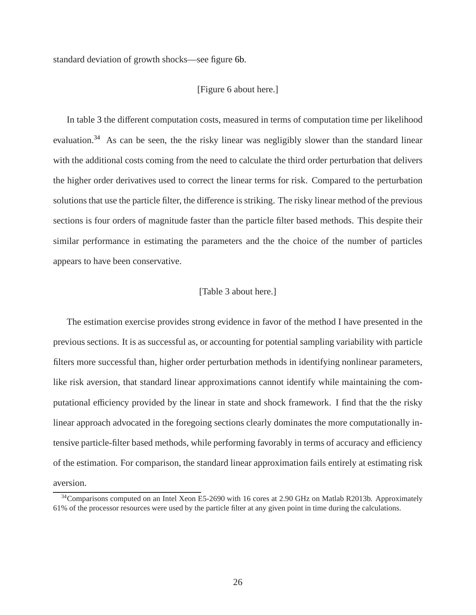standard deviation of growth shocks—see figure [6b.](#page-50-1)

#### [Figure 6 about here.]

In table [3](#page-40-2) the different computation costs, measured in terms of computation time per likelihood evaluation.<sup>[34](#page-26-0)</sup> As can be seen, the the risky linear was negligibly slower than the standard linear with the additional costs coming from the need to calculate the third order perturbation that delivers the higher order derivatives used to correct the linear terms for risk. Compared to the perturbation solutions that use the particle filter, the difference is striking. The risky linear method of the previous sections is four orders of magnitude faster than the particle filter based methods. This despite their similar performance in estimating the parameters and the the choice of the number of particles appears to have been conservative.

#### [Table 3 about here.]

The estimation exercise provides strong evidence in favor of the method I have presented in the previous sections. It is as successful as, or accounting for potential sampling variability with particle filters more successful than, higher order perturbation methods in identifying nonlinear parameters, like risk aversion, that standard linear approximations cannot identify while maintaining the computational efficiency provided by the linear in state and shock framework. I find that the the risky linear approach advocated in the foregoing sections clearly dominates the more computationally intensive particle-filter based methods, while performing favorably in terms of accuracy and efficiency of the estimation. For comparison, the standard linear approximation fails entirely at estimating risk aversion.

<span id="page-26-0"></span><sup>&</sup>lt;sup>34</sup>Comparisons computed on an Intel Xeon E5-2690 with 16 cores at 2.90 GHz on Matlab R2013b. Approximately 61% of the processor resources were used by the particle filter at any given point in time during the calculations.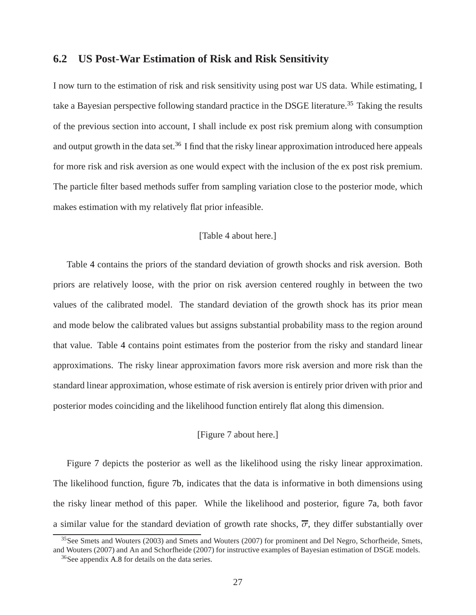# **6.2 US Post-War Estimation of Risk and Risk Sensitivity**

I now turn to the estimation of risk and risk sensitivity using post war US data. While estimating, I take a Bayesian perspective following standard practice in the DSGE literature.[35](#page-27-0) Taking the results of the previous section into account, I shall include ex post risk premium along with consumption and output growth in the data set.<sup>[36](#page-27-1)</sup> I find that the risky linear approximation introduced here appeals for more risk and risk aversion as one would expect with the inclusion of the ex post risk premium. The particle filter based methods suffer from sampling variation close to the posterior mode, which makes estimation with my relatively flat prior infeasible.

### [Table 4 about here.]

Table [4](#page-40-3) contains the priors of the standard deviation of growth shocks and risk aversion. Both priors are relatively loose, with the prior on risk aversion centered roughly in between the two values of the calibrated model. The standard deviation of the growth shock has its prior mean and mode below the calibrated values but assigns substantial probability mass to the region around that value. Table [4](#page-40-3) contains point estimates from the posterior from the risky and standard linear approximations. The risky linear approximation favors more risk aversion and more risk than the standard linear approximation, whose estimate of risk aversion is entirely prior driven with prior and posterior modes coinciding and the likelihood function entirely flat along this dimension.

#### [Figure 7 about here.]

Figure [7](#page-48-0) depicts the posterior as well as the likelihood using the risky linear approximation. The likelihood function, figure [7b,](#page-50-1) indicates that the data is informative in both dimensions using the risky linear method of this paper. While the likelihood and posterior, figure [7a,](#page-50-0) both favor a similar value for the standard deviation of growth rate shocks,  $\overline{\sigma}$ , they differ substantially over

<sup>&</sup>lt;sup>35</sup>See Smets and Wouters (2003) and Smets and Wouters (2007) for prominent and Del Negro, Schorfheide, Smets, and Wouters (2007) and An and Schorfheide (2007) for instructive examples of Bayesian estimation of DSGE models.

<span id="page-27-1"></span><span id="page-27-0"></span><sup>36</sup>See appendix [A.8](#page-38-1) for details on the data series.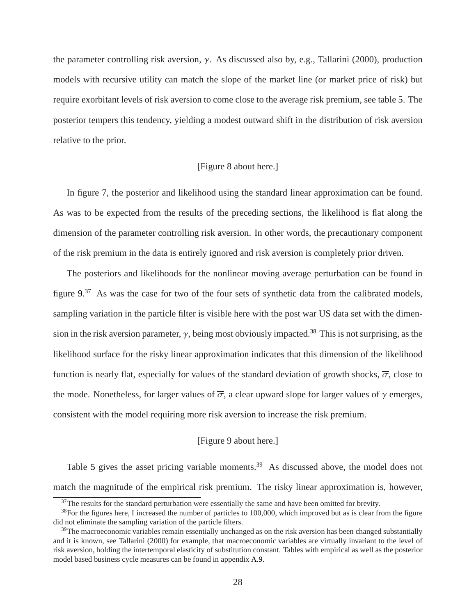the parameter controlling risk aversion, γ. As discussed also by, e.g., Tallarini (2000), production models with recursive utility can match the slope of the market line (or market price of risk) but require exorbitant levels of risk aversion to come close to the average risk premium, see table [5.](#page-41-0) The posterior tempers this tendency, yielding a modest outward shift in the distribution of risk aversion relative to the prior.

### [Figure 8 about here.]

In figure [7,](#page-48-0) the posterior and likelihood using the standard linear approximation can be found. As was to be expected from the results of the preceding sections, the likelihood is flat along the dimension of the parameter controlling risk aversion. In other words, the precautionary component of the risk premium in the data is entirely ignored and risk aversion is completely prior driven.

The posteriors and likelihoods for the nonlinear moving average perturbation can be found in figure [9.](#page-50-2)<sup>[37](#page-28-0)</sup> As was the case for two of the four sets of synthetic data from the calibrated models, sampling variation in the particle filter is visible here with the post war US data set with the dimension in the risk aversion parameter,  $\gamma$ , being most obviously impacted.<sup>[38](#page-28-1)</sup> This is not surprising, as the likelihood surface for the risky linear approximation indicates that this dimension of the likelihood function is nearly flat, especially for values of the standard deviation of growth shocks,  $\overline{\sigma}$ , close to the mode. Nonetheless, for larger values of  $\overline{\sigma}$ , a clear upward slope for larger values of  $\gamma$  emerges, consistent with the model requiring more risk aversion to increase the risk premium.

#### [Figure 9 about here.]

Table [5](#page-41-0) gives the asset pricing variable moments.<sup>[39](#page-28-2)</sup> As discussed above, the model does not match the magnitude of the empirical risk premium. The risky linear approximation is, however,

<span id="page-28-0"></span><sup>&</sup>lt;sup>37</sup>The results for the standard perturbation were essentially the same and have been omitted for brevity.

<span id="page-28-1"></span><sup>&</sup>lt;sup>38</sup>For the figures here, I increased the number of particles to 100,000, which improved but as is clear from the figure did not eliminate the sampling variation of the particle filters.

<span id="page-28-2"></span> $39$ The macroeconomic variables remain essentially unchanged as on the risk aversion has been changed substantially and it is known, see Tallarini (2000) for example, that macroeconomic variables are virtually invariant to the level of risk aversion, holding the intertemporal elasticity of substitution constant. Tables with empirical as well as the posterior model based business cycle measures can be found in appendix [A.9.](#page-39-0)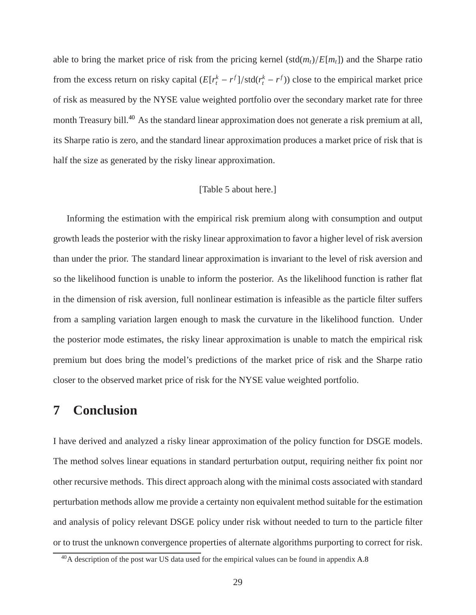able to bring the market price of risk from the pricing kernel (std( $m_t$ )/ $E[m_t]$ ) and the Sharpe ratio from the excess return on risky capital  $(E[r_t^k - r^f]/std(r_t^k - r^f))$  close to the empirical market price of risk as measured by the NYSE value weighted portfolio over the secondary market rate for three month Treasury bill.<sup>[40](#page-29-1)</sup> As the standard linear approximation does not generate a risk premium at all, its Sharpe ratio is zero, and the standard linear approximation produces a market price of risk that is half the size as generated by the risky linear approximation.

#### [Table 5 about here.]

Informing the estimation with the empirical risk premium along with consumption and output growth leads the posterior with the risky linear approximation to favor a higher level of risk aversion than under the prior. The standard linear approximation is invariant to the level of risk aversion and so the likelihood function is unable to inform the posterior. As the likelihood function is rather flat in the dimension of risk aversion, full nonlinear estimation is infeasible as the particle filter suffers from a sampling variation largen enough to mask the curvature in the likelihood function. Under the posterior mode estimates, the risky linear approximation is unable to match the empirical risk premium but does bring the model's predictions of the market price of risk and the Sharpe ratio closer to the observed market price of risk for the NYSE value weighted portfolio.

# <span id="page-29-0"></span>**7 Conclusion**

I have derived and analyzed a risky linear approximation of the policy function for DSGE models. The method solves linear equations in standard perturbation output, requiring neither fix point nor other recursive methods. This direct approach along with the minimal costs associated with standard perturbation methods allow me provide a certainty non equivalent method suitable for the estimation and analysis of policy relevant DSGE policy under risk without needed to turn to the particle filter or to trust the unknown convergence properties of alternate algorithms purporting to correct for risk.

<span id="page-29-1"></span><sup>&</sup>lt;sup>40</sup>A description of the post war US data used for the empirical values can be found in appendix [A.8](#page-38-1)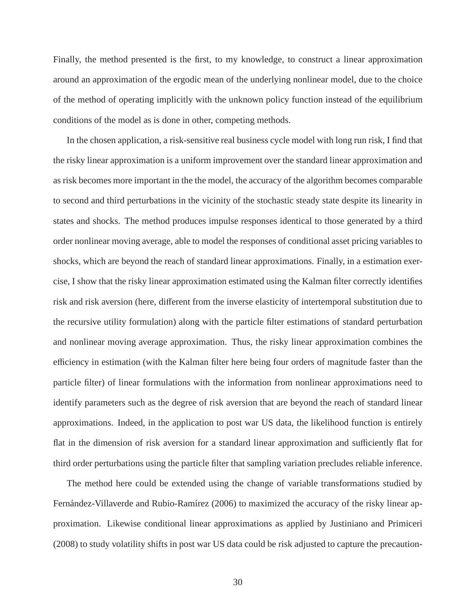Finally, the method presented is the first, to my knowledge, to construct a linear approximation around an approximation of the ergodic mean of the underlying nonlinear model, due to the choice of the method of operating implicitly with the unknown policy function instead of the equilibrium conditions of the model as is done in other, competing methods.

In the chosen application, a risk-sensitive real business cycle model with long run risk, I find that the risky linear approximation is a uniform improvement over the standard linear approximation and as risk becomes more important in the the model, the accuracy of the algorithm becomes comparable to second and third perturbations in the vicinity of the stochastic steady state despite its linearity in states and shocks. The method produces impulse responses identical to those generated by a third order nonlinear moving average, able to model the responses of conditional asset pricing variables to shocks, which are beyond the reach of standard linear approximations. Finally, in a estimation exercise, I show that the risky linear approximation estimated using the Kalman filter correctly identifies risk and risk aversion (here, different from the inverse elasticity of intertemporal substitution due to the recursive utility formulation) along with the particle filter estimations of standard perturbation and nonlinear moving average approximation. Thus, the risky linear approximation combines the efficiency in estimation (with the Kalman filter here being four orders of magnitude faster than the particle filter) of linear formulations with the information from nonlinear approximations need to identify parameters such as the degree of risk aversion that are beyond the reach of standard linear approximations. Indeed, in the application to post war US data, the likelihood function is entirely flat in the dimension of risk aversion for a standard linear approximation and sufficiently flat for third order perturbations using the particle filter that sampling variation precludes reliable inference.

The method here could be extended using the change of variable transformations studied by Fernández-Villaverde and Rubio-Ramírez (2006) to maximized the accuracy of the risky linear approximation. Likewise conditional linear approximations as applied by Justiniano and Primiceri (2008) to study volatility shifts in post war US data could be risk adjusted to capture the precaution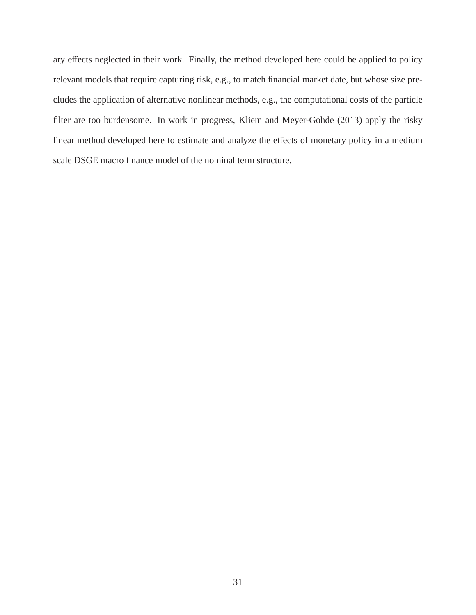ary effects neglected in their work. Finally, the method developed here could be applied to policy relevant models that require capturing risk, e.g., to match financial market date, but whose size precludes the application of alternative nonlinear methods, e.g., the computational costs of the particle filter are too burdensome. In work in progress, Kliem and Meyer-Gohde (2013) apply the risky linear method developed here to estimate and analyze the effects of monetary policy in a medium scale DSGE macro finance model of the nominal term structure.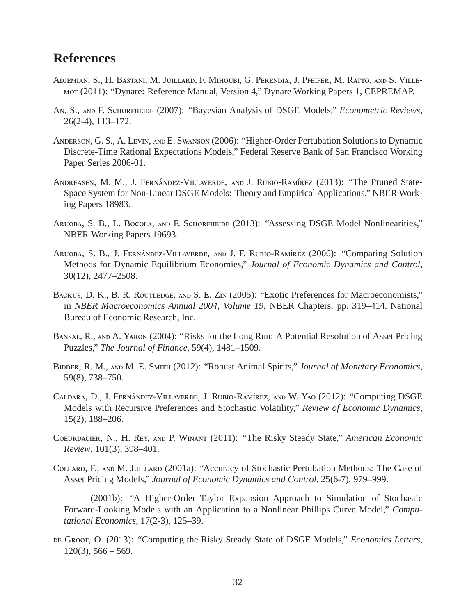# **References**

- Adjemian, S., H. Bastani, M. Juillard, F. Mihoubi, G. Perendia, J. Pfeifer, M. Ratto, and S. Villemot (2011): "Dynare: Reference Manual, Version 4," Dynare Working Papers 1, CEPREMAP.
- An, S., and F. Schorfheide (2007): "Bayesian Analysis of DSGE Models," *Econometric Reviews*, 26(2-4), 113–172.
- ANDERSON, G. S., A. LEVIN, AND E. SWANSON (2006): "Higher-Order Pertubation Solutions to Dynamic Discrete-Time Rational Expectations Models," Federal Reserve Bank of San Francisco Working Paper Series 2006-01.
- ANDREASEN, M. M., J. FERNÁNDEZ-VILLAVERDE, AND J. RUBIO-RAMÍREZ (2013): "The Pruned State-Space System for Non-Linear DSGE Models: Theory and Empirical Applications," NBER Working Papers 18983.
- ARUOBA, S. B., L. BOCOLA, AND F. SCHORFHEIDE (2013): "Assessing DSGE Model Nonlinearities," NBER Working Papers 19693.
- ARUOBA, S. B., J. FERNÁNDEZ-VILLAVERDE, AND J. F. RUBIO-RAMÍREZ (2006): "Comparing Solution Methods for Dynamic Equilibrium Economies," *Journal of Economic Dynamics and Control*, 30(12), 2477–2508.
- BACKUS, D. K., B. R. ROUTLEDGE, AND S. E. ZIN (2005): "Exotic Preferences for Macroeconomists," in *NBER Macroeconomics Annual 2004, Volume 19*, NBER Chapters, pp. 319–414. National Bureau of Economic Research, Inc.
- Bansal, R., and A. Yaron (2004): "Risks for the Long Run: A Potential Resolution of Asset Pricing Puzzles," *The Journal of Finance*, 59(4), 1481–1509.
- Bidder, R. M., and M. E. Smith (2012): "Robust Animal Spirits," *Journal of Monetary Economics*, 59(8), 738–750.
- CALDARA, D., J. FERNÁNDEZ-VILLAVERDE, J. RUBIO-RAMÍREZ, AND W. YAO (2012): "Computing DSGE Models with Recursive Preferences and Stochastic Volatility," *Review of Economic Dynamics*, 15(2), 188–206.
- Coeurdacier, N., H. Rey, and P. Winant (2011): "The Risky Steady State," *American Economic Review*, 101(3), 398–401.
- COLLARD, F., AND M. JUILLARD (2001a): "Accuracy of Stochastic Pertubation Methods: The Case of Asset Pricing Models," *Journal of Economic Dynamics and Control*, 25(6-7), 979–999.
	- (2001b): "A Higher-Order Taylor Expansion Approach to Simulation of Stochastic Forward-Looking Models with an Application to a Nonlinear Phillips Curve Model," *Computational Economics*, 17(2-3), 125–39.
- DE GROOT, O. (2013): "Computing the Risky Steady State of DSGE Models," *Economics Letters*,  $120(3)$ , 566 – 569.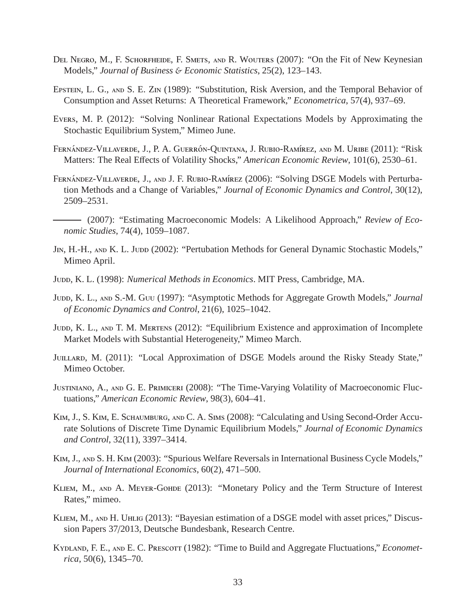- DEL NEGRO, M., F. SCHORFHEIDE, F. SMETS, AND R. WOUTERS (2007): "On the Fit of New Keynesian Models," *Journal of Business* & *Economic Statistics*, 25(2), 123–143.
- EPSTEIN, L. G., AND S. E. ZIN (1989): "Substitution, Risk Aversion, and the Temporal Behavior of Consumption and Asset Returns: A Theoretical Framework," *Econometrica*, 57(4), 937–69.
- Evers, M. P. (2012): "Solving Nonlinear Rational Expectations Models by Approximating the Stochastic Equilibrium System," Mimeo June.
- FERNÁNDEZ-VILLAVERDE, J., P. A. GUERRÓN-QUINTANA, J. RUBIO-RAMÍREZ, AND M. URIBE (2011): "Risk Matters: The Real Effects of Volatility Shocks," *American Economic Review*, 101(6), 2530–61.
- FERNÁNDEZ-VILLAVERDE, J., AND J. F. RUBIO-RAMÍREZ (2006): "Solving DSGE Models with Perturbation Methods and a Change of Variables," *Journal of Economic Dynamics and Control*, 30(12), 2509–2531.
- (2007): "Estimating Macroeconomic Models: A Likelihood Approach," *Review of Economic Studies*, 74(4), 1059–1087.
- J<sub>IN</sub>, H.-H., AND K. L. JUDD (2002): "Pertubation Methods for General Dynamic Stochastic Models," Mimeo April.
- Judd, K. L. (1998): *Numerical Methods in Economics*. MIT Press, Cambridge, MA.
- Jupp, K. L., AND S.-M. Guu (1997): "Asymptotic Methods for Aggregate Growth Models," *Journal of Economic Dynamics and Control*, 21(6), 1025–1042.
- JUDD, K. L., AND T. M. MERTENS (2012): "Equilibrium Existence and approximation of Incomplete Market Models with Substantial Heterogeneity," Mimeo March.
- JUILLARD, M. (2011): "Local Approximation of DSGE Models around the Risky Steady State," Mimeo October.
- Justiniano, A., and G. E. Primiceri (2008): "The Time-Varying Volatility of Macroeconomic Fluctuations," *American Economic Review*, 98(3), 604–41.
- Kim, J., S. Kim, E. Schaumburg, and C. A. Sims (2008): "Calculating and Using Second-Order Accurate Solutions of Discrete Time Dynamic Equilibrium Models," *Journal of Economic Dynamics and Control*, 32(11), 3397–3414.
- Kim, J., and S. H. Kim (2003): "Spurious Welfare Reversals in International Business Cycle Models," *Journal of International Economics*, 60(2), 471–500.
- KLIEM, M., AND A. MEYER-GOHDE (2013): "Monetary Policy and the Term Structure of Interest Rates," mimeo.
- Kliem, M., and H. Uhlig (2013): "Bayesian estimation of a DSGE model with asset prices," Discussion Papers 37/2013, Deutsche Bundesbank, Research Centre.
- KYDLAND, F. E., AND E. C. PRESCOTT (1982): "Time to Build and Aggregate Fluctuations," *Econometrica*, 50(6), 1345–70.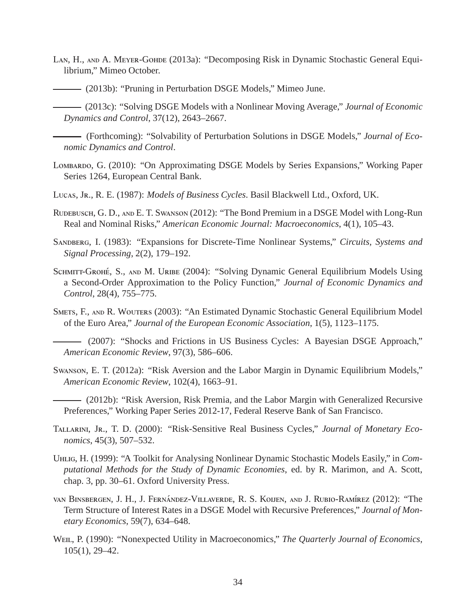- LAN, H., AND A. MEYER-GOHDE (2013a): "Decomposing Risk in Dynamic Stochastic General Equilibrium," Mimeo October.
	- (2013b): "Pruning in Perturbation DSGE Models," Mimeo June.
	- (2013c): "Solving DSGE Models with a Nonlinear Moving Average," *Journal of Economic Dynamics and Control*, 37(12), 2643–2667.
- (Forthcoming): "Solvability of Perturbation Solutions in DSGE Models," *Journal of Economic Dynamics and Control*.
- Lombardo, G. (2010): "On Approximating DSGE Models by Series Expansions," Working Paper Series 1264, European Central Bank.
- Lucas, Jr., R. E. (1987): *Models of Business Cycles*. Basil Blackwell Ltd., Oxford, UK.
- RUDEBUSCH, G. D., AND E. T. SWANSON (2012): "The Bond Premium in a DSGE Model with Long-Run Real and Nominal Risks," *American Economic Journal: Macroeconomics*, 4(1), 105–43.
- Sandberg, I. (1983): "Expansions for Discrete-Time Nonlinear Systems," *Circuits, Systems and Signal Processing*, 2(2), 179–192.
- SCHMITT-GROHÉ, S., AND M. URIBE (2004): "Solving Dynamic General Equilibrium Models Using a Second-Order Approximation to the Policy Function," *Journal of Economic Dynamics and Control*, 28(4), 755–775.
- Smets, F., and R. Wouters (2003): "An Estimated Dynamic Stochastic General Equilibrium Model of the Euro Area," *Journal of the European Economic Association*, 1(5), 1123–1175.
	- (2007): "Shocks and Frictions in US Business Cycles: A Bayesian DSGE Approach," *American Economic Review*, 97(3), 586–606.
- Swanson, E. T. (2012a): "Risk Aversion and the Labor Margin in Dynamic Equilibrium Models," *American Economic Review*, 102(4), 1663–91.
	- (2012b): "Risk Aversion, Risk Premia, and the Labor Margin with Generalized Recursive Preferences," Working Paper Series 2012-17, Federal Reserve Bank of San Francisco.
- TALLARINI, JR., T. D. (2000): "Risk-Sensitive Real Business Cycles," *Journal of Monetary Economics*, 45(3), 507–532.
- Uhlig, H. (1999): "A Toolkit for Analysing Nonlinear Dynamic Stochastic Models Easily," in *Computational Methods for the Study of Dynamic Economies*, ed. by R. Marimon, and A. Scott, chap. 3, pp. 30–61. Oxford University Press.
- van Binsbergen, J. H., J. Fernández-Villaverde, R. S. Koijen, and J. Rubio-Ramírez (2012): "The Term Structure of Interest Rates in a DSGE Model with Recursive Preferences," *Journal of Monetary Economics*, 59(7), 634–648.
- WEIL, P. (1990): "Nonexpected Utility in Macroeconomics," *The Quarterly Journal of Economics*, 105(1), 29–42.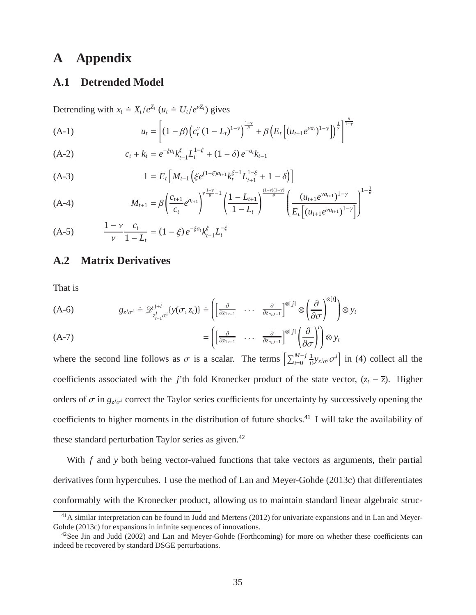# <span id="page-35-1"></span>**A Appendix**

# **A.1 Detrended Model**

Detrending with  $x_t \doteq X_t/e^{Z_t}$  ( $u_t \doteq U_t/e^{VZ_t}$ ) gives

(A-1) 
$$
u_t = \left[ (1 - \beta) \left( c_t^{\nu} (1 - L_t)^{1 - \nu} \right)^{\frac{1 - \nu}{\theta}} + \beta \left( E_t \left[ (u_{t+1} e^{\nu a_t})^{1 - \gamma} \right] \right)^{\frac{1}{\gamma}} \right]^{\frac{\theta}{1 - \gamma}}
$$

(A-2) 
$$
c_t + k_t = e^{-\xi a_t} k_{t-1}^{\xi} L_t^{1-\xi} + (1-\delta) e^{-a_t} k_{t-1}
$$

(A-3) 
$$
1 = E_t \left[ M_{t+1} \left( \xi e^{(1-\xi)a_{t+1}} k_t^{\xi-1} L_{t+1}^{1-\xi} + 1 - \delta \right) \right]
$$

(A-4) 
$$
M_{t+1} = \beta \left( \frac{c_{t+1}}{c_t} e^{a_{t+1}} \right)^{\frac{1-\gamma}{\theta}-1} \left( \frac{1-L_{t+1}}{1-L_t} \right)^{\frac{(1-\gamma)(1-\gamma)}{\theta}} \left( \frac{(u_{t+1}e^{\gamma a_{t+1}})^{1-\gamma}}{E_t \left[ (u_{t+1}e^{\gamma a_{t+1}})^{1-\gamma} \right]} \right)^{1-\frac{1}{\theta}}
$$

<span id="page-35-0"></span>(A-5) 
$$
\frac{1-\nu}{\nu}\frac{c_t}{1-L_t} = (1-\xi)e^{-\xi a_t}k_{t-1}^{\xi}L_t^{-\xi}
$$

## **A.2 Matrix Derivatives**

That is

$$
(A-6) \t g_{z^j\sigma^i} = \mathcal{D}^{j+i}_{z^j_{t-1}\sigma^i}\{y(\sigma,z_t)\} = \left(\begin{bmatrix} \frac{\partial}{\partial z_{1,t-1}} & \cdots & \frac{\partial}{\partial z_{n_z,t-1}} \end{bmatrix}^{\otimes [j]} \otimes \left(\frac{\partial}{\partial \sigma}\right)^{\otimes [i]}\right) \otimes y_t
$$

$$
(A-7) \qquad \qquad = \left( \begin{bmatrix} \frac{\partial}{\partial z_{1,t-1}} & \cdots & \frac{\partial}{\partial z_{n_z,t-1}} \end{bmatrix}^{\otimes [j]} \left( \frac{\partial}{\partial \sigma} \right)^i \right) \otimes y_t
$$

where the second line follows as  $\sigma$  is a scalar. The terms  $\left[\sum_{i=0}^{M-j}\right]$ 1  $\frac{1}{i!} y_{z^j \sigma^i} \sigma^i$  in [\(4\)](#page-4-4) collect all the coefficients associated with the *j*'th fold Kronecker product of the state vector,  $(z_t - \overline{z})$ . Higher orders of  $\sigma$  in  $g_{z^j\sigma^i}$  correct the Taylor series coefficients for uncertainty by successively opening the coefficients to higher moments in the distribution of future shocks.<sup>[41](#page-35-2)</sup> I will take the availability of these standard perturbation Taylor series as given.<sup>[42](#page-35-3)</sup>

With *f* and *y* both being vector-valued functions that take vectors as arguments, their partial derivatives form hypercubes. I use the method of Lan and Meyer-Gohde (2013c) that differentiates conformably with the Kronecker product, allowing us to maintain standard linear algebraic struc-

<span id="page-35-2"></span> $^{41}$ A similar interpretation can be found in Judd and Mertens (2012) for univariate expansions and in Lan and Meyer-Gohde (2013c) for expansions in infinite sequences of innovations.

<span id="page-35-3"></span> $^{42}$ See Jin and Judd (2002) and Lan and Meyer-Gohde (Forthcoming) for more on whether these coefficients can indeed be recovered by standard DSGE perturbations.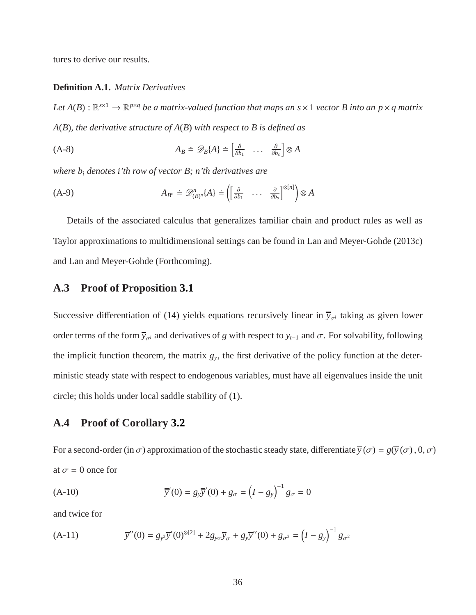tures to derive our results.

#### **Definition A.1.** *Matrix Derivatives*

Let  $A(B): \mathbb{R}^{s\times 1}\to \mathbb{R}^{p\times q}$  be a matrix-valued function that maps an  $s\times 1$  vector B into an  $p\times q$  matrix *A*(*B*)*, the derivative structure of A*(*B*) *with respect to B is defined as*

$$
(A-8) \t\t A_B \doteq \mathscr{D}_B\{A\} \doteq \begin{bmatrix} \frac{\partial}{\partial b_1} & \dots & \frac{\partial}{\partial b_s} \end{bmatrix} \otimes A
$$

*where b<sup>i</sup> denotes i'th row of vector B; n'th derivatives are*

$$
(A-9) \t A_{B^n} \doteq \mathscr{D}_{(B)^n}^n \{A\} \doteq \left( \begin{bmatrix} \frac{\partial}{\partial b_1} & \dots & \frac{\partial}{\partial b_s} \end{bmatrix}^{\otimes [n]} \right) \otimes A
$$

Details of the associated calculus that generalizes familiar chain and product rules as well as Taylor approximations to multidimensional settings can be found in Lan and Meyer-Gohde (2013c) and Lan and Meyer-Gohde (Forthcoming).

# <span id="page-36-0"></span>**A.3 Proof of Proposition [3.1](#page-10-1)**

Successive differentiation of [\(14\)](#page-10-2) yields equations recursively linear in  $\bar{y}_{\sigma i}$  taking as given lower order terms of the form  $\overline{y}_{\sigma i}$  and derivatives of *g* with respect to  $y_{t-1}$  and  $\sigma$ . For solvability, following the implicit function theorem, the matrix  $g_y$ , the first derivative of the policy function at the deterministic steady state with respect to endogenous variables, must have all eigenvalues inside the unit circle; this holds under local saddle stability of [\(1\)](#page-3-3).

## <span id="page-36-1"></span>**A.4 Proof of Corollary [3.2](#page-11-2)**

For a second-order (in  $\sigma$ ) approximation of the stochastic steady state, differentiate  $\overline{y}(\sigma) = g(\overline{y}(\sigma), 0, \sigma)$ at  $\sigma = 0$  once for

(A-10) 
$$
\overline{y}'(0) = g_y \overline{y}'(0) + g_\sigma = (I - g_y)^{-1} g_\sigma = 0
$$

and twice for

(A-11) 
$$
\overline{y}''(0) = g_{y^2}\overline{y}'(0)^{\otimes[2]} + 2g_{y\sigma}\overline{y}_{\sigma} + g_{y}\overline{y}''(0) + g_{\sigma^2} = (I - g_{y})^{-1}g_{\sigma^2}
$$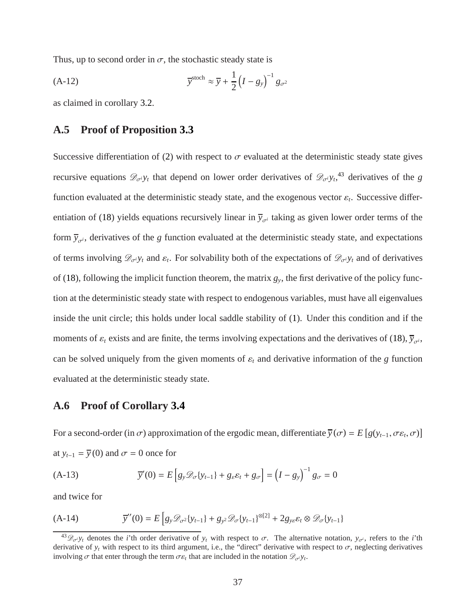Thus, up to second order in  $\sigma$ , the stochastic steady state is

$$
\overline{y}^{\text{stoch}} \approx \overline{y} + \frac{1}{2} \left( I - g_y \right)^{-1} g_{\sigma^2}
$$

<span id="page-37-0"></span>as claimed in corollary [3.2.](#page-11-2)

# **A.5 Proof of Proposition [3.3](#page-12-2)**

Successive differentiation of [\(2\)](#page-4-1) with respect to  $\sigma$  evaluated at the deterministic steady state gives recursive equations  $\mathscr{D}_{\sigma}$ *y*<sub>t</sub> that depend on lower order derivatives of  $\mathscr{D}_{\sigma}$ <sub>*y*<sup>t</sup></sub><sup>[43](#page-37-2)</sup> derivatives of the *g* function evaluated at the deterministic steady state, and the exogenous vector  $\varepsilon_t$ . Successive differ-entiation of [\(18\)](#page-11-3) yields equations recursively linear in  $\bar{y}_{\sigma i}$  taking as given lower order terms of the form  $\bar{y}_{\sigma i}$ , derivatives of the *g* function evaluated at the deterministic steady state, and expectations of terms involving  $\mathscr{D}_{\sigma}$ *y*<sub>t</sub> and  $\varepsilon$ <sub>*t*</sub>. For solvability both of the expectations of  $\mathscr{D}_{\sigma}$ *y*<sub>t</sub> and of derivatives of [\(18\)](#page-11-3), following the implicit function theorem, the matrix  $g_y$ , the first derivative of the policy function at the deterministic steady state with respect to endogenous variables, must have all eigenvalues inside the unit circle; this holds under local saddle stability of [\(1\)](#page-3-3). Under this condition and if the moments of  $\varepsilon_t$  exists and are finite, the terms involving expectations and the derivatives of [\(18\)](#page-11-3),  $\overline{y}_{\sigma i}$ , can be solved uniquely from the given moments of  $\varepsilon_t$  and derivative information of the *g* function evaluated at the deterministic steady state.

## <span id="page-37-1"></span>**A.6 Proof of Corollary [3.4](#page-12-3)**

For a second-order (in  $\sigma$ ) approximation of the ergodic mean, differentiate  $\overline{y}(\sigma) = E[g(y_{t-1}, \sigma \varepsilon_t, \sigma)]$ at  $y_{t-1} = \overline{y}(0)$  and  $\sigma = 0$  once for

(A-13) 
$$
\overline{y}'(0) = E\left[g_y \mathscr{D}_{\sigma}\{y_{t-1}\} + g_{\varepsilon} \varepsilon_t + g_{\sigma}\right] = \left(I - g_y\right)^{-1} g_{\sigma} = 0
$$

and twice for

(A-14) 
$$
\overline{y}''(0) = E \left[ g_y \mathscr{D}_{\sigma^2} \{ y_{t-1} \} + g_{y^2} \mathscr{D}_{\sigma} \{ y_{t-1} \}^{\otimes [2]} + 2 g_{y \varepsilon} \varepsilon_t \otimes \mathscr{D}_{\sigma} \{ y_{t-1} \}
$$

<span id="page-37-2"></span> $^{43}$  $\mathcal{D}_{\sigma}$ *iy*<sub>t</sub> denotes the *i*'th order derivative of *y*<sub>t</sub> with respect to  $\sigma$ . The alternative notation, *y*<sub> $\sigma$ </sub><sup>*i*</sup>, refers to the *i*'th derivative of  $y_t$  with respect to its third argument, i.e., the "direct" derivative with respect to  $\sigma$ , neglecting derivatives involving  $\sigma$  that enter through the term  $\sigma \varepsilon_t$  that are included in the notation  $\mathscr{D}_{\sigma}y_t$ .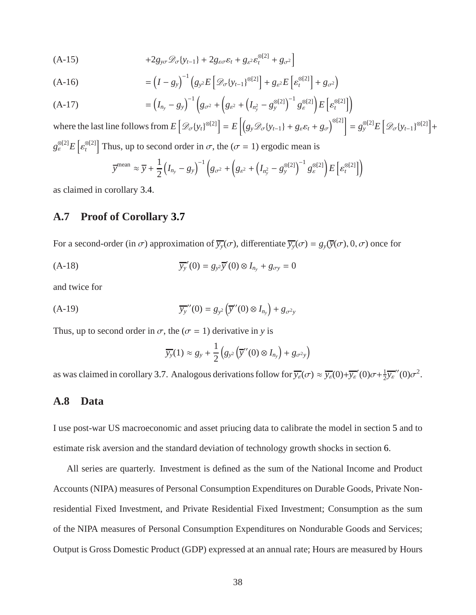$$
(A-15) \t\t +2g_{y\sigma}\mathcal{D}_{\sigma}\lbrace y_{t-1}\rbrace + 2g_{\varepsilon\sigma}\varepsilon_t + g_{\varepsilon^2}\varepsilon_t^{\otimes[2]} + g_{\sigma^2}\Big]
$$

$$
(A-16) = \left(I - g_y\right)^{-1} \left(g_{y^2} E\left[\mathcal{D}_{\sigma}\{y_{t-1}\}^{\otimes[2]}\right] + g_{\varepsilon^2} E\left[\varepsilon_t^{\otimes[2]}\right] + g_{\sigma^2}\right)
$$

(A-17) 
$$
= (I_{n_y} - g_y)^{-1} \left( g_{\sigma^2} + \left( g_{\varepsilon^2} + (I_{n_y^2} - g_y^{\otimes[2]})^{-1} g_{\varepsilon}^{\otimes[2]} \right) E \left[ \varepsilon_t^{\otimes[2]} \right] \right)
$$

where the last line follows from  $E\left[\mathcal{D}_{\sigma}\{y_t\}^{\otimes 2}]\right] = E\left[\left(g_y\mathcal{D}_{\sigma}\{y_{t-1}\} + g_{\varepsilon}\varepsilon_t + g_{\sigma}\right)^{\otimes 2}]\right] = g_y^{\otimes 2}E\left[\mathcal{D}_{\sigma}\{y_{t-1}\}^{\otimes 2}]\right] +$  $g_{\varepsilon}^{\otimes[2]} E\big[\varepsilon_t^{\otimes[2]}$ <sup> $\mathcal{D}_{t}^{[2]}$  Thus, up to second order in  $\sigma$ , the ( $\sigma = 1$ ) ergodic mean is</sup>

$$
\overline{y}^{\text{mean}} \approx \overline{y} + \frac{1}{2} \left( I_{n_y} - g_y \right)^{-1} \left( g_{\sigma^2} + \left( g_{\varepsilon^2} + \left( I_{n_y^2} - g_y^{\otimes[2]} \right)^{-1} g_{\varepsilon}^{\otimes[2]} \right) E \left[ \varepsilon_t^{\otimes[2]} \right] \right)
$$

<span id="page-38-0"></span>as claimed in corollary [3.4.](#page-12-3)

## **A.7 Proof of Corollary [3.7](#page-14-1)**

For a second-order (in  $\sigma$ ) approximation of  $\overline{y}_y(\sigma)$ , differentiate  $\overline{y}_y(\sigma) = g_y(\overline{y}(\sigma), 0, \sigma)$  once for

(A-18)  $\overline{y_y}'(0) = g_{y^2} \overline{y}'(0) \otimes I_{n_y} + g_{\sigma y} = 0$ 

and twice for

(A-19) 
$$
\overline{y_y}''(0) = g_{y^2}(\overline{y}''(0) \otimes I_{n_y}) + g_{\sigma^2 y}
$$

Thus, up to second order in  $\sigma$ , the ( $\sigma = 1$ ) derivative in *y* is

$$
\overline{y_y}(1) \approx g_y + \frac{1}{2} \left( g_{y^2} \left( \overline{y}''(0) \otimes I_{n_y} \right) + g_{\sigma^2 y} \right)
$$

<span id="page-38-1"></span>as was claimed in corollary [3.7.](#page-14-1) Analogous derivations follow for  $\overline{y_{\varepsilon}}(\sigma) \approx \overline{y_{\varepsilon}}(0) + \overline{y_{\varepsilon}}'(0) \sigma + \frac{1}{2}$  $\frac{1}{2} \overline{y_{\varepsilon}}^{\prime\prime}(0) \sigma^2$ .

## **A.8 Data**

I use post-war US macroeconomic and asset priucing data to calibrate the model in section [5](#page-19-0) and to estimate risk aversion and the standard deviation of technology growth shocks in section [6.](#page-22-0)

All series are quarterly. Investment is defined as the sum of the National Income and Product Accounts (NIPA) measures of Personal Consumption Expenditures on Durable Goods, Private Nonresidential Fixed Investment, and Private Residential Fixed Investment; Consumption as the sum of the NIPA measures of Personal Consumption Expenditures on Nondurable Goods and Services; Output is Gross Domestic Product (GDP) expressed at an annual rate; Hours are measured by Hours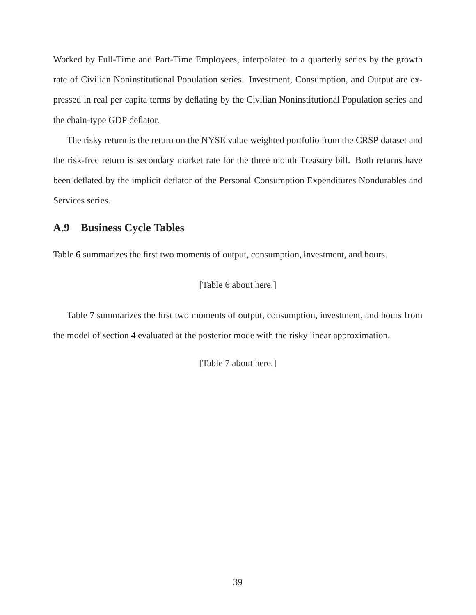Worked by Full-Time and Part-Time Employees, interpolated to a quarterly series by the growth rate of Civilian Noninstitutional Population series. Investment, Consumption, and Output are expressed in real per capita terms by deflating by the Civilian Noninstitutional Population series and the chain-type GDP deflator.

The risky return is the return on the NYSE value weighted portfolio from the CRSP dataset and the risk-free return is secondary market rate for the three month Treasury bill. Both returns have been deflated by the implicit deflator of the Personal Consumption Expenditures Nondurables and Services series.

# <span id="page-39-0"></span>**A.9 Business Cycle Tables**

Table [6](#page-41-1) summarizes the first two moments of output, consumption, investment, and hours.

[Table 6 about here.]

Table [7](#page-41-2) summarizes the first two moments of output, consumption, investment, and hours from the model of section [4](#page-16-0) evaluated at the posterior mode with the risky linear approximation.

[Table 7 about here.]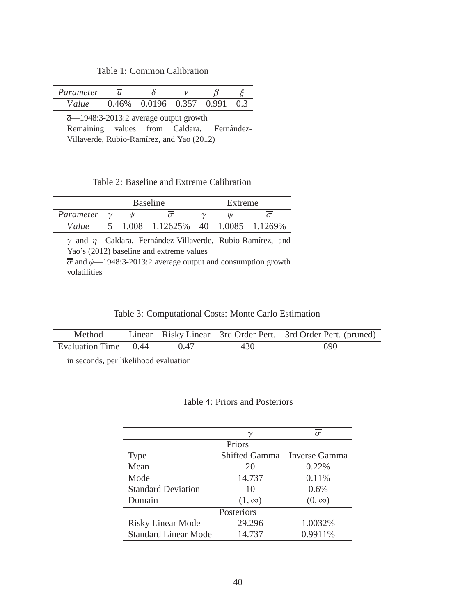Table 1: Common Calibration

<span id="page-40-0"></span>

| Parameter | $\sim$ |        |       |       |  |
|-----------|--------|--------|-------|-------|--|
| Value     | 0.46%  | 0.0196 | 0.357 | 0.991 |  |

*a*—1948:3-2013:2 average output growth Remaining values from Caldara, Fernández-Villaverde, Rubio-Ramírez, and Yao (2012)

## Table 2: Baseline and Extreme Calibration

<span id="page-40-1"></span>

|           | <b>Baseline</b> |       |          |    | Extreme |         |  |  |
|-----------|-----------------|-------|----------|----|---------|---------|--|--|
| Parameter |                 |       |          |    |         |         |  |  |
| Value     |                 | 1.008 | 1.12625% | 40 | 1.0085  | 1.1269% |  |  |

 $\gamma$  and  $\eta$ —Caldara, Fernández-Villaverde, Rubio-Ramírez, and Yao's (2012) baseline and extreme values  $\overline{\sigma}$  and  $\psi$ —1948:3-2013:2 average output and consumption growth

| Table 3: Computational Costs: Monte Carlo Estimation |  |  |  |  |  |
|------------------------------------------------------|--|--|--|--|--|
|------------------------------------------------------|--|--|--|--|--|

| Method               |      |     | Linear Risky Linear 3rd Order Pert. 3rd Order Pert. (pruned) |
|----------------------|------|-----|--------------------------------------------------------------|
| Evaluation Time 0.44 | 0.47 | 430 | 690                                                          |

<span id="page-40-3"></span>in seconds, per likelihood evaluation

<span id="page-40-2"></span>volatilities

### Table 4: Priors and Posteriors

|                             |               | $\sigma$                    |
|-----------------------------|---------------|-----------------------------|
|                             | Priors        |                             |
| <b>Type</b>                 |               | Shifted Gamma Inverse Gamma |
| Mean                        | 20            | 0.22%                       |
| Mode                        | 14.737        | 0.11%                       |
| <b>Standard Deviation</b>   | 10            | 0.6%                        |
| Domain                      | $(1, \infty)$ | $(0, \infty)$               |
|                             | Posteriors    |                             |
| <b>Risky Linear Mode</b>    | 29.296        | 1.0032%                     |
| <b>Standard Linear Mode</b> | 14.737        | 0.9911%                     |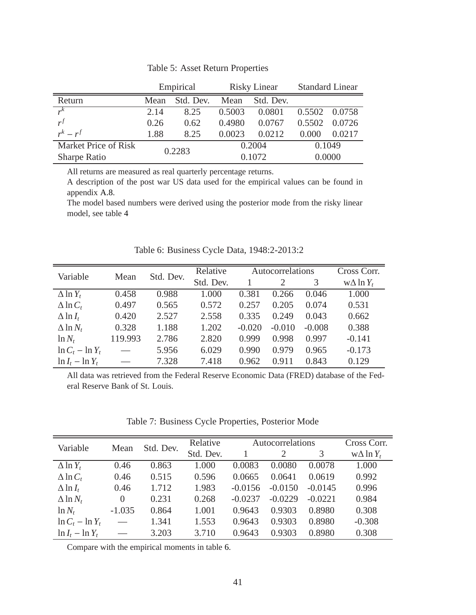<span id="page-41-0"></span>

|                      | Empirical |           | <b>Risky Linear</b> |           | <b>Standard Linear</b> |        |
|----------------------|-----------|-----------|---------------------|-----------|------------------------|--------|
| Return               | Mean      | Std. Dev. | Mean                | Std. Dev. |                        |        |
| $r^{\overline{k}}$   | 2.14      | 8.25      | 0.5003              | 0.0801    | 0.5502                 | 0.0758 |
| $r^f$                | 0.26      | 0.62      | 0.4980              | 0.0767    | 0.5502                 | 0.0726 |
| $r^k - r^f$          | 1.88      | 8.25      | 0.0023              | 0.0212    | 0.000                  | 0.0217 |
| Market Price of Risk | 0.2283    |           | 0.2004              |           | 0.1049                 |        |
| Sharpe Ratio         |           |           | 0.1072              |           | 0.0000                 |        |

Table 5: Asset Return Properties

All returns are measured as real quarterly percentage returns.

A description of the post war US data used for the empirical values can be found in appendix [A.8.](#page-38-1)

<span id="page-41-1"></span>The model based numbers were derived using the posterior mode from the risky linear model, see table [4](#page-40-3)

| Variable            |         | Std. Dev. | Relative  |          | Autocorrelations |          | Cross Corr.       |
|---------------------|---------|-----------|-----------|----------|------------------|----------|-------------------|
|                     | Mean    |           | Std. Dev. |          | 2                | 3        | $w\Delta \ln Y_t$ |
| $\Delta$ ln $Y_t$   | 0.458   | 0.988     | 1.000     | 0.381    | 0.266            | 0.046    | 1.000             |
| $\Delta$ ln $C_t$   | 0.497   | 0.565     | 0.572     | 0.257    | 0.205            | 0.074    | 0.531             |
| $\Delta$ ln $I_t$   | 0.420   | 2.527     | 2.558     | 0.335    | 0.249            | 0.043    | 0.662             |
| $\Delta$ ln $N_t$   | 0.328   | 1.188     | 1.202     | $-0.020$ | $-0.010$         | $-0.008$ | 0.388             |
| $\ln N_t$           | 119.993 | 2.786     | 2.820     | 0.999    | 0.998            | 0.997    | $-0.141$          |
| $\ln C_t - \ln Y_t$ |         | 5.956     | 6.029     | 0.990    | 0.979            | 0.965    | $-0.173$          |
| $\ln I_t - \ln Y_t$ |         | 7.328     | 7.418     | 0.962    | 0.911            | 0.843    | 0.129             |

Table 6: Business Cycle Data, 1948:2-2013:2

<span id="page-41-2"></span>All data was retrieved from the Federal Reserve Economic Data (FRED) database of the Federal Reserve Bank of St. Louis.

| Variable<br>Mean    |          | Std. Dev. | Relative  | Autocorrelations | Cross Corr. |           |                   |
|---------------------|----------|-----------|-----------|------------------|-------------|-----------|-------------------|
|                     |          |           | Std. Dev. |                  | 2           | 3         | $w\Delta \ln Y_t$ |
| $\Delta$ ln $Y_t$   | 0.46     | 0.863     | 1.000     | 0.0083           | 0.0080      | 0.0078    | 1.000             |
| $\Delta$ ln $C_t$   | 0.46     | 0.515     | 0.596     | 0.0665           | 0.0641      | 0.0619    | 0.992             |
| $\Delta$ ln $I_t$   | 0.46     | 1.712     | 1.983     | $-0.0156$        | $-0.0150$   | $-0.0145$ | 0.996             |
| $\Delta$ ln $N_t$   | $\Omega$ | 0.231     | 0.268     | $-0.0237$        | $-0.0229$   | $-0.0221$ | 0.984             |
| $\ln N_t$           | $-1.035$ | 0.864     | 1.001     | 0.9643           | 0.9303      | 0.8980    | 0.308             |
| $\ln C_t - \ln Y_t$ |          | 1.341     | 1.553     | 0.9643           | 0.9303      | 0.8980    | $-0.308$          |
| $\ln I_t - \ln Y_t$ |          | 3.203     | 3.710     | 0.9643           | 0.9303      | 0.8980    | 0.308             |

Compare with the empirical moments in table [6.](#page-41-1)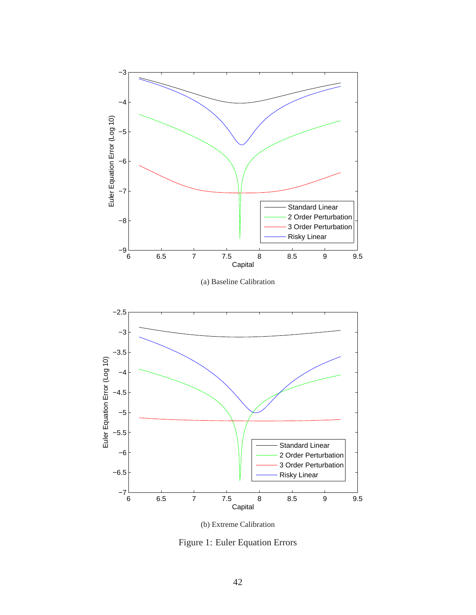<span id="page-42-0"></span>

(b) Extreme Calibration

Figure 1: Euler Equation Errors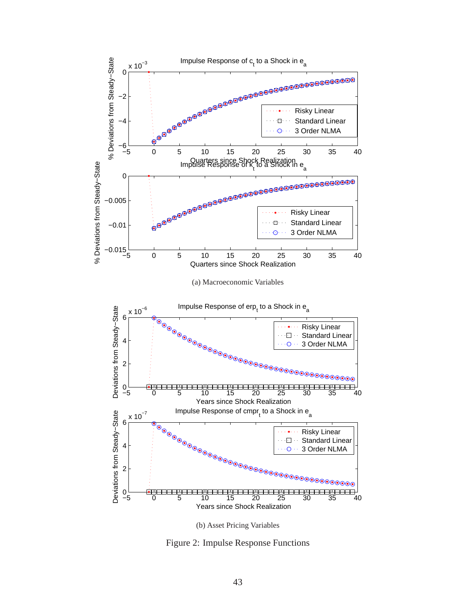<span id="page-43-0"></span>

(b) Asset Pricing Variables

Figure 2: Impulse Response Functions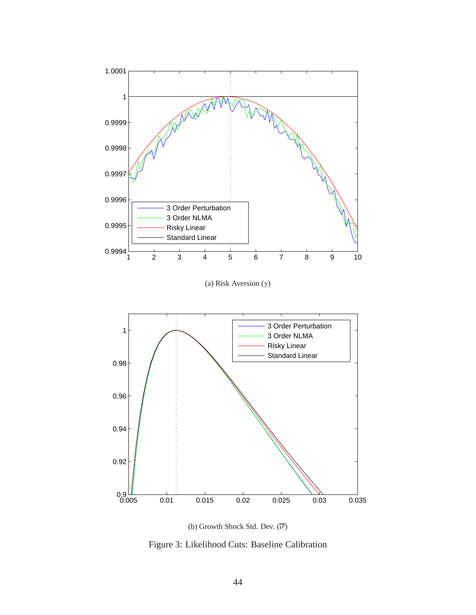<span id="page-44-0"></span>





Figure 3: Likelihood Cuts: Baseline Calibration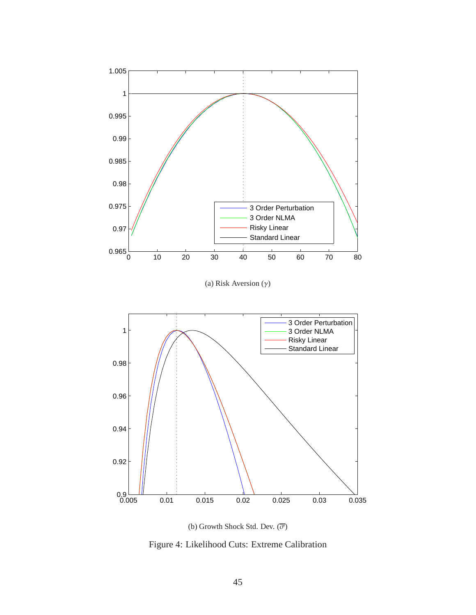<span id="page-45-0"></span>

(a) Risk Aversion  $(\gamma)$ 



(b) Growth Shock Std. Dev.  $(\overline{\sigma})$ 

Figure 4: Likelihood Cuts: Extreme Calibration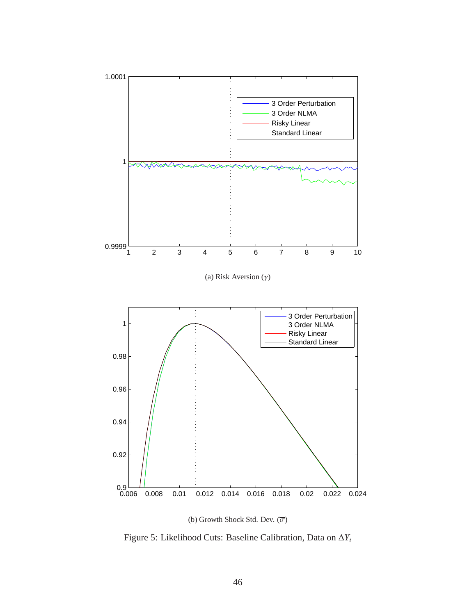<span id="page-46-0"></span>

(b) Growth Shock Std. Dev.  $(\overline{\sigma})$ 

Figure 5: Likelihood Cuts: Baseline Calibration, Data on ∆*Y<sup>t</sup>*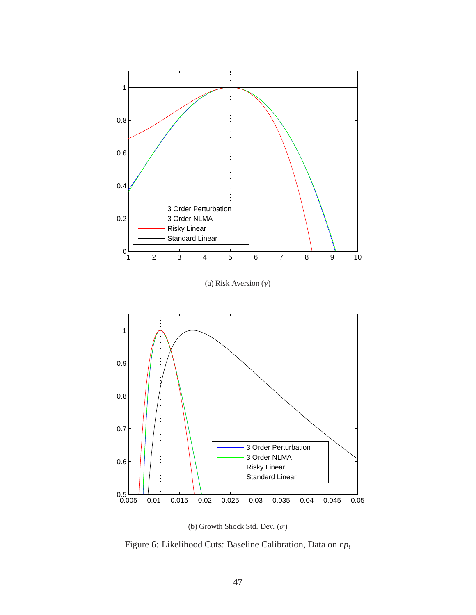<span id="page-47-0"></span>

(b) Growth Shock Std. Dev.  $(\overline{\sigma})$ 

Figure 6: Likelihood Cuts: Baseline Calibration, Data on *rp<sup>t</sup>*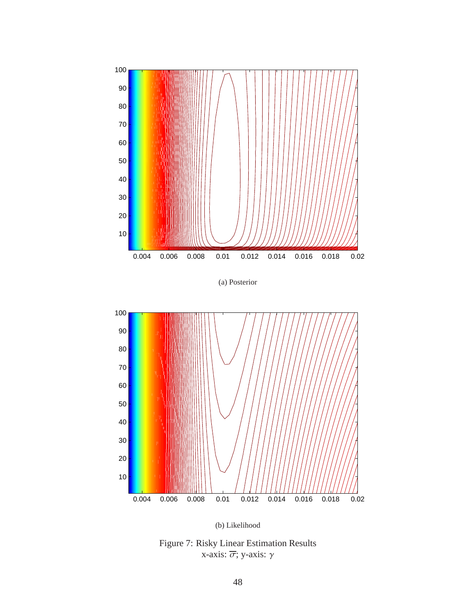<span id="page-48-0"></span>

(a) Posterior



(b) Likelihood

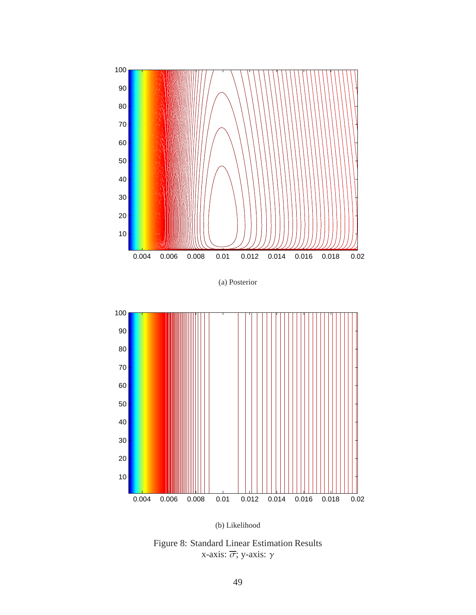

(a) Posterior



(b) Likelihood

Figure 8: Standard Linear Estimation Results x-axis:  $\overline{\sigma}$ ; y-axis: γ